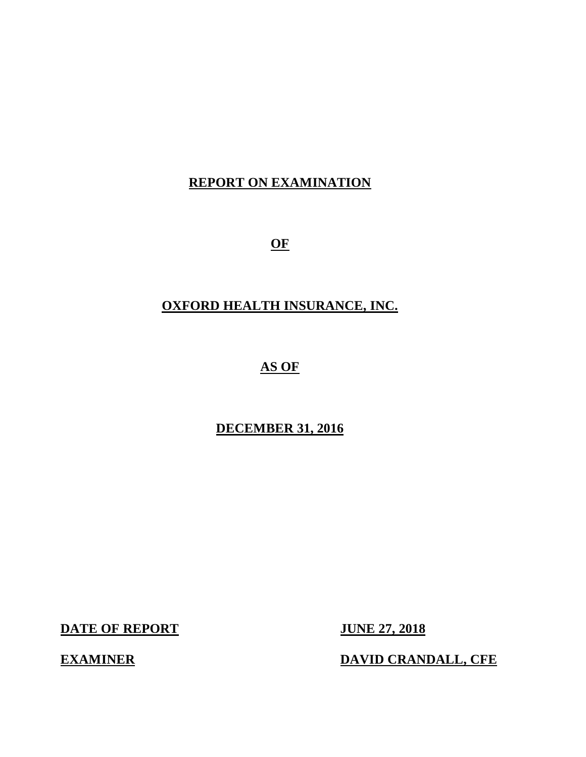# **REPORT ON EXAMINATION**

**OF** 

## **OXFORD HEALTH INSURANCE, INC.**

# **AS OF**

## **DECEMBER 31, 2016**

**DATE OF REPORT JUNE 27, 2018** 

**EXAMINER DAVID CRANDALL, CFE**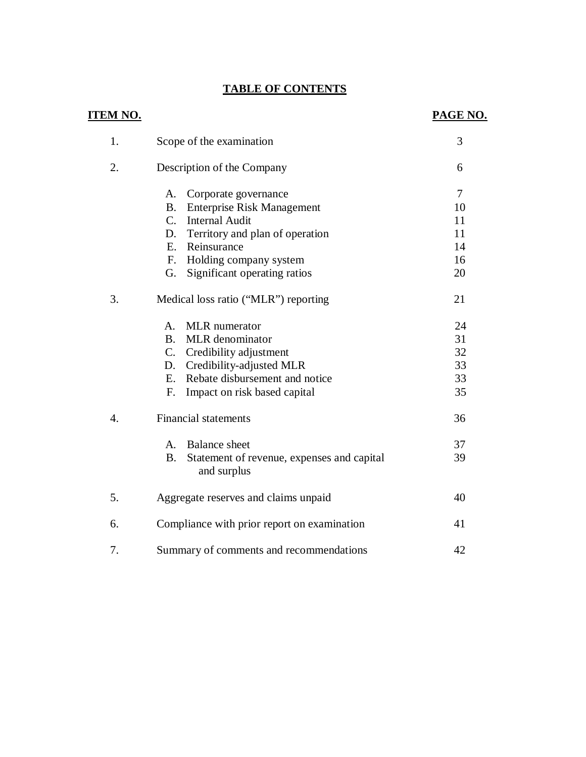## **TABLE OF CONTENTS**

| <u>TEM NO.</u> |                                                                        | PAGE NO.       |
|----------------|------------------------------------------------------------------------|----------------|
| 1.             | Scope of the examination                                               | 3              |
| 2.             | Description of the Company                                             | 6              |
|                | Corporate governance<br>A.                                             | $\overline{7}$ |
|                | <b>Enterprise Risk Management</b><br><b>B.</b>                         | 10             |
|                | $C_{\cdot}$<br><b>Internal Audit</b>                                   | 11             |
|                | D.<br>Territory and plan of operation                                  | 11             |
|                | Reinsurance<br>E.                                                      | 14             |
|                | $F_{\cdot}$<br>Holding company system                                  | 16             |
|                | Significant operating ratios<br>G.                                     | 20             |
| 3.             | Medical loss ratio ("MLR") reporting                                   | 21             |
|                | <b>MLR</b> numerator<br>A.                                             | 24             |
|                | MLR denominator<br><b>B.</b>                                           | 31             |
|                | $C_{\cdot}$<br>Credibility adjustment                                  | 32             |
|                | Credibility-adjusted MLR<br>D.                                         | 33             |
|                | Rebate disbursement and notice<br>E.                                   | 33             |
|                | Impact on risk based capital<br>F.                                     | 35             |
| 4.             | <b>Financial statements</b>                                            | 36             |
|                | <b>Balance</b> sheet<br>$A_{-}$                                        | 37             |
|                | Statement of revenue, expenses and capital<br><b>B.</b><br>and surplus | 39             |
| 5.             | Aggregate reserves and claims unpaid                                   | 40             |
| 6.             | Compliance with prior report on examination                            | 41             |
| 7.             | Summary of comments and recommendations                                | 42             |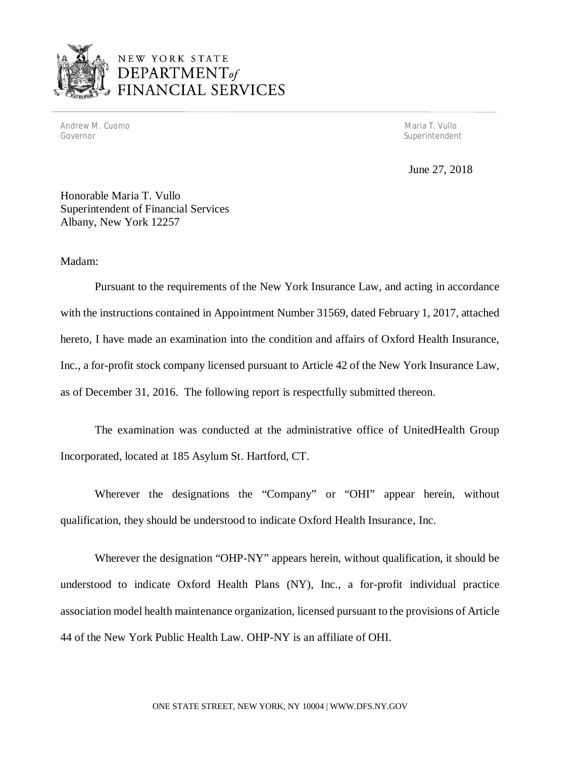

Andrew M. Cuomo Maria T. Vullo (1999) and the control of the control of the control of the control of the control of the control of the control of the control of the control of the control of the control of the control of Governor

Superintendent

June 27, 2018

 Honorable Maria T. Vullo Superintendent of Financial Services Albany, New York 12257

Madam:

 Pursuant to the requirements of the New York Insurance Law, and acting in accordance with the instructions contained in Appointment Number 31569, dated February 1, 2017, attached hereto, I have made an examination into the condition and affairs of Oxford Health Insurance, Inc., a for-profit stock company licensed pursuant to Article 42 of the New York Insurance Law, as of December 31, 2016. The following report is respectfully submitted thereon.

 The examination was conducted at the administrative office of UnitedHealth Group Incorporated, located at 185 Asylum St. Hartford, CT.

 Wherever the designations the "Company" or "OHI" appear herein, without qualification, they should be understood to indicate Oxford Health Insurance, Inc.

 Wherever the designation "OHP-NY" appears herein, without qualification, it should be understood to indicate Oxford Health Plans (NY), Inc., a for-profit individual practice association model health maintenance organization, licensed pursuant to the provisions of Article 44 of the New York Public Health Law. OHP-NY is an affiliate of OHI.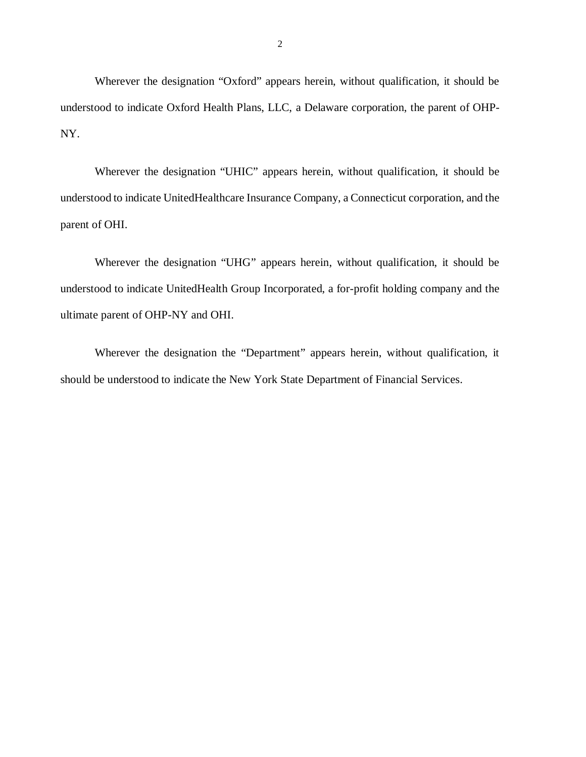Wherever the designation "Oxford" appears herein, without qualification, it should be understood to indicate Oxford Health Plans, LLC, a Delaware corporation, the parent of OHP-NY.

 Wherever the designation "UHIC" appears herein, without qualification, it should be understood to indicate UnitedHealthcare Insurance Company, a Connecticut corporation, and the parent of OHI.

 Wherever the designation "UHG" appears herein, without qualification, it should be understood to indicate UnitedHealth Group Incorporated, a for-profit holding company and the ultimate parent of OHP-NY and OHI.

 Wherever the designation the "Department" appears herein, without qualification, it should be understood to indicate the New York State Department of Financial Services.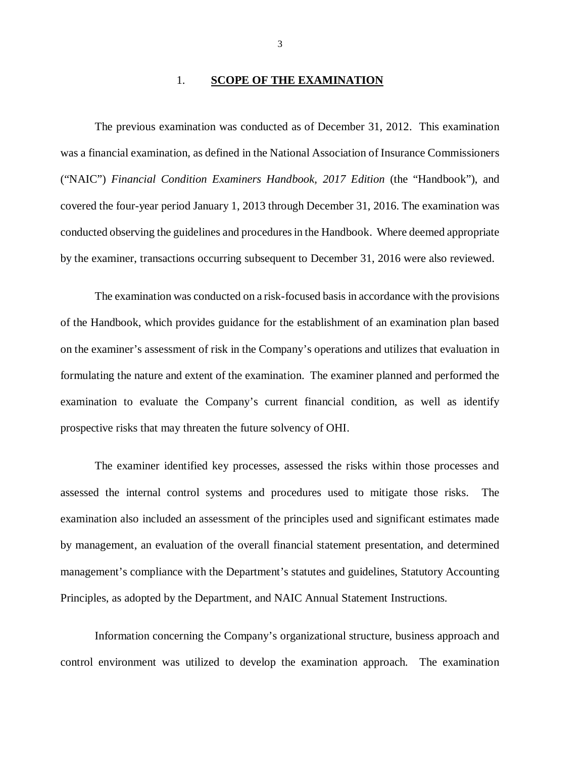### 1. **SCOPE OF THE EXAMINATION**

 was a financial examination, as defined in the National Association of Insurance Commissioners ("NAIC") *Financial Condition Examiners Handbook, 2017 Edition* (the "Handbook"), and covered the four-year period January 1, 2013 through December 31, 2016. The examination was conducted observing the guidelines and procedures in the Handbook. Where deemed appropriate by the examiner, transactions occurring subsequent to December 31, 2016 were also reviewed. The previous examination was conducted as of December 31, 2012. This examination

 of the Handbook, which provides guidance for the establishment of an examination plan based on the examiner's assessment of risk in the Company's operations and utilizes that evaluation in formulating the nature and extent of the examination. The examiner planned and performed the examination to evaluate the Company's current financial condition, as well as identify prospective risks that may threaten the future solvency of OHI. The examination was conducted on a risk-focused basis in accordance with the provisions

 assessed the internal control systems and procedures used to mitigate those risks. The examination also included an assessment of the principles used and significant estimates made by management, an evaluation of the overall financial statement presentation, and determined management's compliance with the Department's statutes and guidelines, Statutory Accounting Principles, as adopted by the Department, and NAIC Annual Statement Instructions. The examiner identified key processes, assessed the risks within those processes and

 Information concerning the Company's organizational structure, business approach and control environment was utilized to develop the examination approach. The examination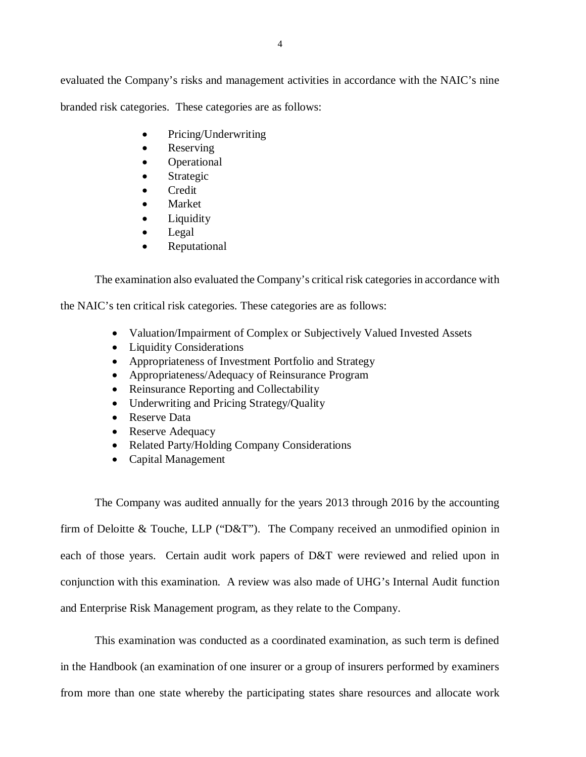evaluated the Company's risks and management activities in accordance with the NAIC's nine branded risk categories. These categories are as follows:

- Pricing/Underwriting
- Reserving
- Operational
- Strategic
- Credit
- Market
- Liquidity
- Legal
- Reputational

The examination also evaluated the Company's critical risk categories in accordance with

the NAIC's ten critical risk categories. These categories are as follows:

- Valuation/Impairment of Complex or Subjectively Valued Invested Assets
- Liquidity Considerations
- Appropriateness of Investment Portfolio and Strategy
- Appropriateness/Adequacy of Reinsurance Program
- Reinsurance Reporting and Collectability
- Underwriting and Pricing Strategy/Quality
- Reserve Data
- Reserve Adequacy
- Related Party/Holding Company Considerations
- Capital Management

 The Company was audited annually for the years 2013 through 2016 by the accounting firm of Deloitte & Touche, LLP ("D&T"). The Company received an unmodified opinion in each of those years. Certain audit work papers of D&T were reviewed and relied upon in conjunction with this examination. A review was also made of UHG's Internal Audit function and Enterprise Risk Management program, as they relate to the Company.

 This examination was conducted as a coordinated examination, as such term is defined in the Handbook (an examination of one insurer or a group of insurers performed by examiners from more than one state whereby the participating states share resources and allocate work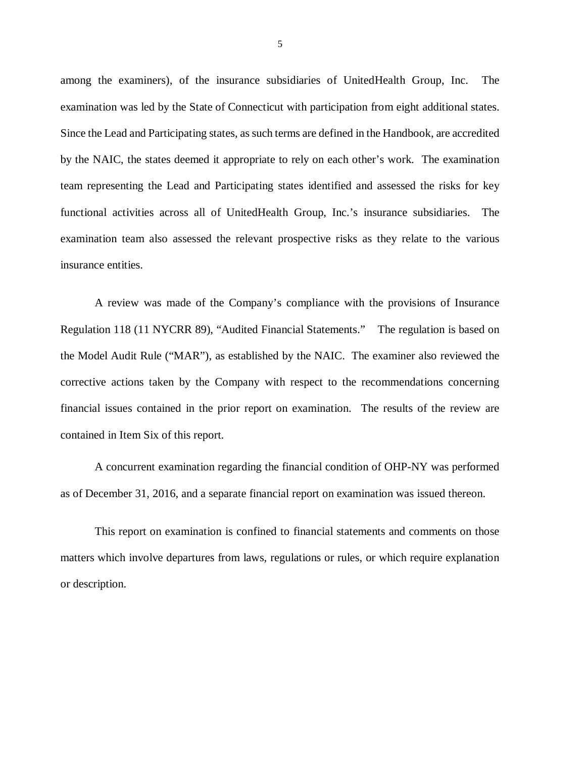among the examiners), of the insurance subsidiaries of UnitedHealth Group, Inc. The examination was led by the State of Connecticut with participation from eight additional states. Since the Lead and Participating states, as such terms are defined in the Handbook, are accredited by the NAIC, the states deemed it appropriate to rely on each other's work. The examination team representing the Lead and Participating states identified and assessed the risks for key functional activities across all of UnitedHealth Group, Inc.'s insurance subsidiaries. The examination team also assessed the relevant prospective risks as they relate to the various insurance entities.

 Regulation 118 (11 NYCRR 89), "Audited Financial Statements." The regulation is based on the Model Audit Rule ("MAR"), as established by the NAIC. The examiner also reviewed the corrective actions taken by the Company with respect to the recommendations concerning financial issues contained in the prior report on examination. The results of the review are contained in Item Six of this report. A review was made of the Company's compliance with the provisions of Insurance

 as of December 31, 2016, and a separate financial report on examination was issued thereon. A concurrent examination regarding the financial condition of OHP-NY was performed

 matters which involve departures from laws, regulations or rules, or which require explanation or description. This report on examination is confined to financial statements and comments on those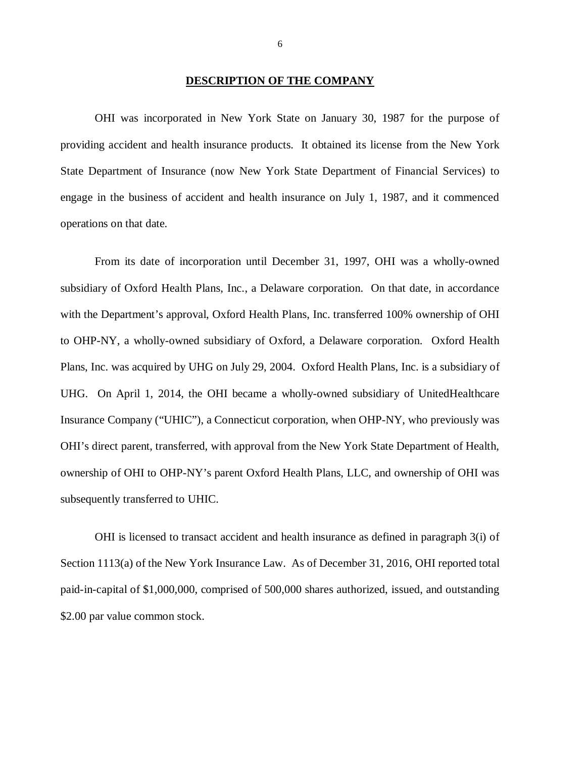### **DESCRIPTION OF THE COMPANY**

 providing accident and health insurance products. It obtained its license from the New York State Department of Insurance (now New York State Department of Financial Services) to engage in the business of accident and health insurance on July 1, 1987, and it commenced operations on that date. OHI was incorporated in New York State on January 30, 1987 for the purpose of

 subsidiary of Oxford Health Plans, Inc., a Delaware corporation. On that date, in accordance with the Department's approval, Oxford Health Plans, Inc. transferred 100% ownership of OHI to OHP-NY, a wholly-owned subsidiary of Oxford, a Delaware corporation. Oxford Health Plans, Inc. was acquired by UHG on July 29, 2004. Oxford Health Plans, Inc. is a subsidiary of UHG. On April 1, 2014, the OHI became a wholly-owned subsidiary of UnitedHealthcare Insurance Company ("UHIC"), a Connecticut corporation, when OHP-NY, who previously was OHI's direct parent, transferred, with approval from the New York State Department of Health, ownership of OHI to OHP-NY's parent Oxford Health Plans, LLC, and ownership of OHI was subsequently transferred to UHIC. From its date of incorporation until December 31, 1997, OHI was a wholly-owned

 OHI is licensed to transact accident and health insurance as defined in paragraph 3(i) of Section 1113(a) of the New York Insurance Law. As of December 31, 2016, OHI reported total paid-in-capital of \$1,000,000, comprised of 500,000 shares authorized, issued, and outstanding \$2.00 par value common stock.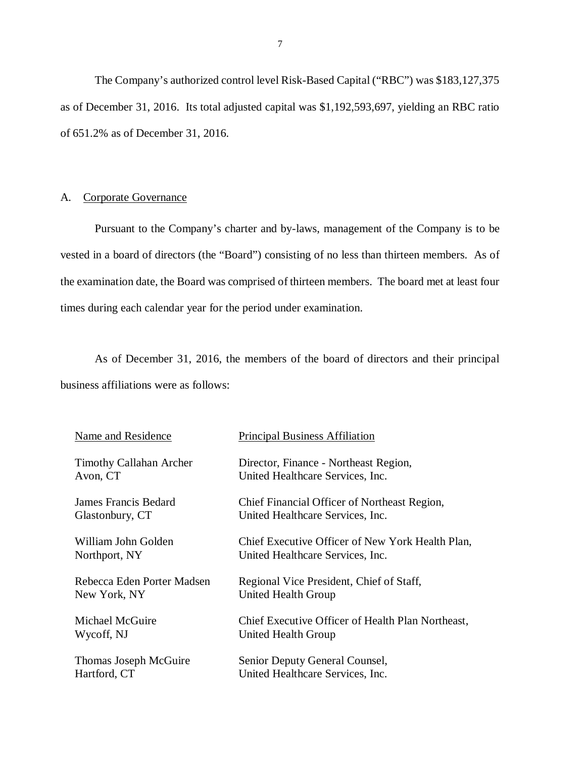<span id="page-8-0"></span> The Company's authorized control level Risk-Based Capital ("RBC") was \$183,127,375 as of December 31, 2016. Its total adjusted capital was \$1,192,593,697, yielding an RBC ratio of 651.2% as of December 31, 2016.

### A. Corporate Governance

 Pursuant to the Company's charter and by-laws, management of the Company is to be vested in a board of directors (the "Board") consisting of no less than thirteen members. As of the examination date, the Board was comprised of thirteen members. The board met at least four times during each calendar year for the period under examination.

 business affiliations were as follows: As of December 31, 2016, the members of the board of directors and their principal

| Name and Residence             | <b>Principal Business Affiliation</b>             |
|--------------------------------|---------------------------------------------------|
| <b>Timothy Callahan Archer</b> | Director, Finance - Northeast Region,             |
| Avon, CT                       | United Healthcare Services, Inc.                  |
| James Francis Bedard           | Chief Financial Officer of Northeast Region,      |
| Glastonbury, CT                | United Healthcare Services, Inc.                  |
| William John Golden            | Chief Executive Officer of New York Health Plan,  |
| Northport, NY                  | United Healthcare Services, Inc.                  |
| Rebecca Eden Porter Madsen     | Regional Vice President, Chief of Staff,          |
| New York, NY                   | United Health Group                               |
| Michael McGuire                | Chief Executive Officer of Health Plan Northeast, |
| Wycoff, NJ                     | United Health Group                               |
| Thomas Joseph McGuire          | Senior Deputy General Counsel,                    |
| Hartford, CT                   | United Healthcare Services, Inc.                  |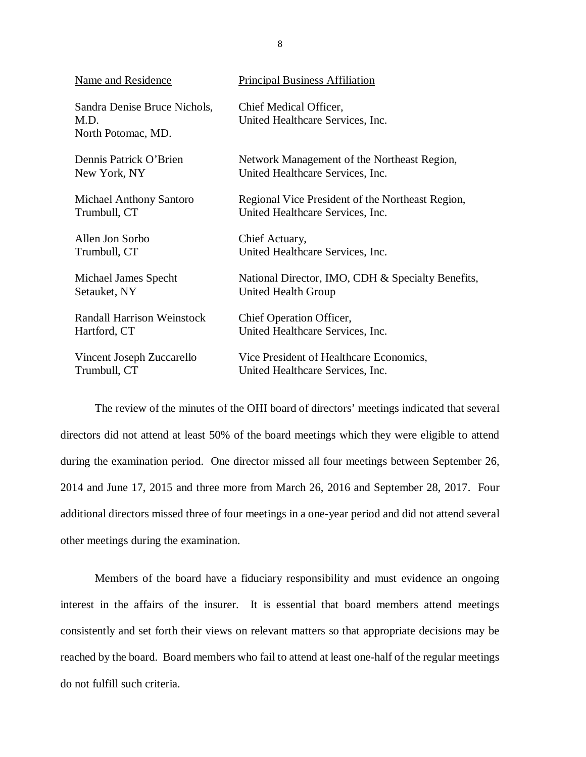| Name and Residence                                         | <b>Principal Business Affiliation</b>                      |
|------------------------------------------------------------|------------------------------------------------------------|
| Sandra Denise Bruce Nichols,<br>M.D.<br>North Potomac, MD. | Chief Medical Officer,<br>United Healthcare Services, Inc. |
| Dennis Patrick O'Brien                                     | Network Management of the Northeast Region,                |
| New York, NY                                               | United Healthcare Services, Inc.                           |
| <b>Michael Anthony Santoro</b>                             | Regional Vice President of the Northeast Region,           |
| Trumbull, CT                                               | United Healthcare Services, Inc.                           |
| Allen Jon Sorbo                                            | Chief Actuary,                                             |
| Trumbull, CT                                               | United Healthcare Services, Inc.                           |
| Michael James Specht                                       | National Director, IMO, CDH & Specialty Benefits,          |
| Setauket, NY                                               | United Health Group                                        |
| <b>Randall Harrison Weinstock</b>                          | Chief Operation Officer,                                   |
| Hartford, CT                                               | United Healthcare Services, Inc.                           |
| Vincent Joseph Zuccarello                                  | Vice President of Healthcare Economics,                    |
| Trumbull, CT                                               | United Healthcare Services, Inc.                           |

 The review of the minutes of the OHI board of directors' meetings indicated that several directors did not attend at least 50% of the board meetings which they were eligible to attend during the examination period. One director missed all four meetings between September 26, 2014 and June 17, 2015 and three more from March 26, 2016 and September 28, 2017. Four additional directors missed three of four meetings in a one-year period and did not attend several other meetings during the examination.

 Members of the board have a fiduciary responsibility and must evidence an ongoing interest in the affairs of the insurer. It is essential that board members attend meetings consistently and set forth their views on relevant matters so that appropriate decisions may be reached by the board. Board members who fail to attend at least one-half of the regular meetings do not fulfill such criteria.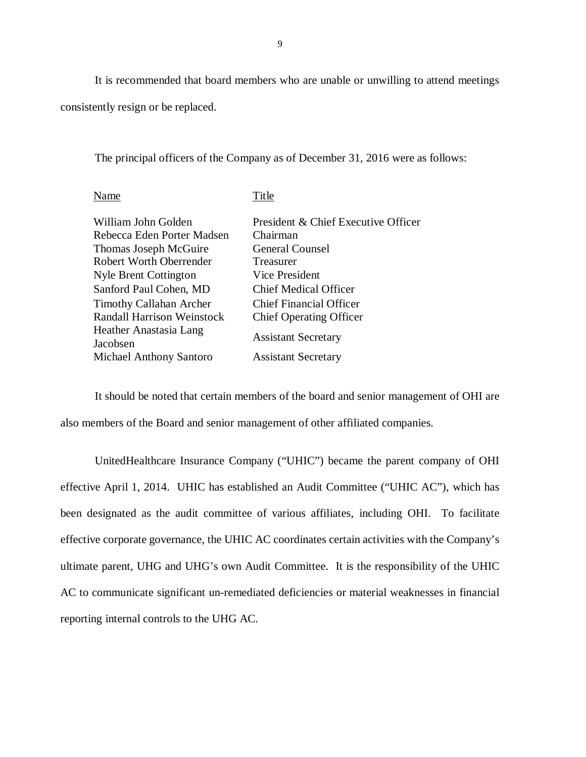It is recommended that board members who are unable or unwilling to attend meetings consistently resign or be replaced.

The principal officers of the Company as of December 31, 2016 were as follows:

| William John Golden                | President & Chief Executive Officer |
|------------------------------------|-------------------------------------|
| Rebecca Eden Porter Madsen         | Chairman                            |
| Thomas Joseph McGuire              | <b>General Counsel</b>              |
| <b>Robert Worth Oberrender</b>     | Treasurer                           |
| <b>Nyle Brent Cottington</b>       | Vice President                      |
| Sanford Paul Cohen, MD             | <b>Chief Medical Officer</b>        |
| <b>Timothy Callahan Archer</b>     | <b>Chief Financial Officer</b>      |
| <b>Randall Harrison Weinstock</b>  | <b>Chief Operating Officer</b>      |
| Heather Anastasia Lang<br>Jacobsen | <b>Assistant Secretary</b>          |
| <b>Michael Anthony Santoro</b>     | <b>Assistant Secretary</b>          |
|                                    |                                     |

Name Title

 also members of the Board and senior management of other affiliated companies. It should be noted that certain members of the board and senior management of OHI are

 UnitedHealthcare Insurance Company ("UHIC") became the parent company of OHI effective April 1, 2014. UHIC has established an Audit Committee ("UHIC AC"), which has been designated as the audit committee of various affiliates, including OHI. To facilitate effective corporate governance, the UHIC AC coordinates certain activities with the Company's ultimate parent, UHG and UHG's own Audit Committee. It is the responsibility of the UHIC AC to communicate significant un-remediated deficiencies or material weaknesses in financial reporting internal controls to the UHG AC.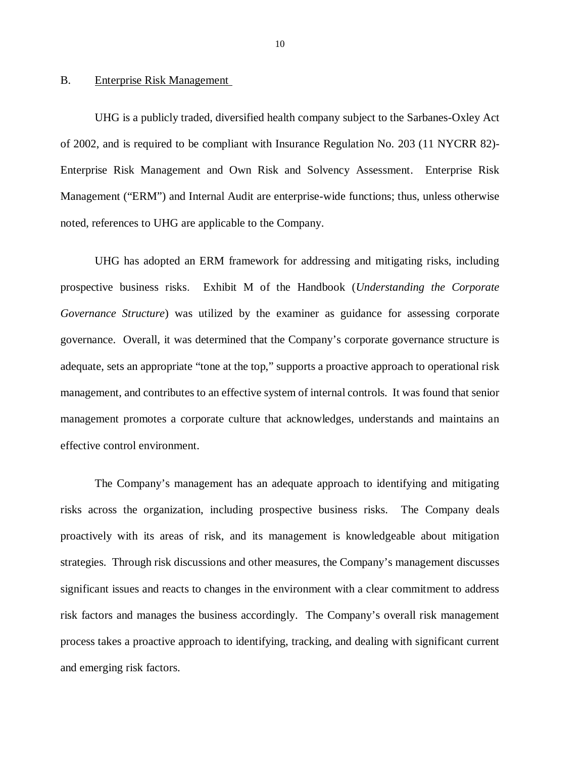### <span id="page-11-0"></span>**Enterprise Risk Management**

B. Enterprise Risk Management<br>UHG is a publicly traded, diversified health company subject to the Sarbanes-Oxley Act of 2002, and is required to be compliant with Insurance Regulation No. 203 (11 NYCRR 82)- Enterprise Risk Management and Own Risk and Solvency Assessment. Enterprise Risk Management ("ERM") and Internal Audit are enterprise-wide functions; thus, unless otherwise noted, references to UHG are applicable to the Company.

 UHG has adopted an ERM framework for addressing and mitigating risks, including prospective business risks. Exhibit M of the Handbook (*Understanding the Corporate Governance Structure*) was utilized by the examiner as guidance for assessing corporate governance. Overall, it was determined that the Company's corporate governance structure is adequate, sets an appropriate "tone at the top," supports a proactive approach to operational risk management, and contributes to an effective system of internal controls. It was found that senior management promotes a corporate culture that acknowledges, understands and maintains an effective control environment.

 risks across the organization, including prospective business risks. The Company deals proactively with its areas of risk, and its management is knowledgeable about mitigation strategies. Through risk discussions and other measures, the Company's management discusses significant issues and reacts to changes in the environment with a clear commitment to address risk factors and manages the business accordingly. The Company's overall risk management process takes a proactive approach to identifying, tracking, and dealing with significant current and emerging risk factors. The Company's management has an adequate approach to identifying and mitigating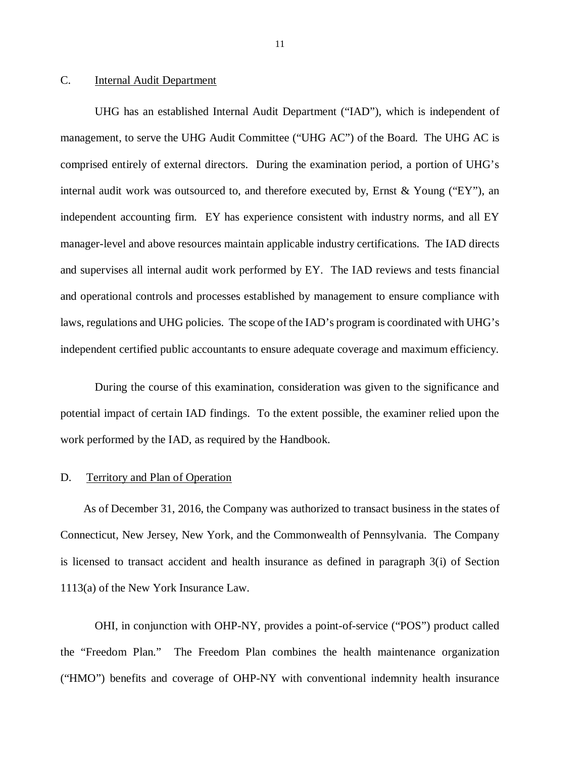#### <span id="page-12-0"></span> $C_{\cdot}$ Internal Audit Department

 UHG has an established Internal Audit Department ("IAD"), which is independent of management, to serve the UHG Audit Committee ("UHG AC") of the Board. The UHG AC is comprised entirely of external directors. During the examination period, a portion of UHG's internal audit work was outsourced to, and therefore executed by, Ernst & Young ("EY"), an independent accounting firm. EY has experience consistent with industry norms, and all EY manager-level and above resources maintain applicable industry certifications. The IAD directs and supervises all internal audit work performed by EY. The IAD reviews and tests financial and operational controls and processes established by management to ensure compliance with laws, regulations and UHG policies. The scope of the IAD's program is coordinated with UHG's independent certified public accountants to ensure adequate coverage and maximum efficiency.

 During the course of this examination, consideration was given to the significance and potential impact of certain IAD findings. To the extent possible, the examiner relied upon the work performed by the IAD, as required by the Handbook.

#### D. Territory and Plan of Operation

 Connecticut, New Jersey, New York, and the Commonwealth of Pennsylvania. The Company is licensed to transact accident and health insurance as defined in paragraph 3(i) of Section 1113(a) of the New York Insurance Law. As of December 31, 2016, the Company was authorized to transact business in the states of

 the "Freedom Plan." The Freedom Plan combines the health maintenance organization ("HMO") benefits and coverage of OHP-NY with conventional indemnity health insurance OHI, in conjunction with OHP-NY, provides a point-of-service ("POS") product called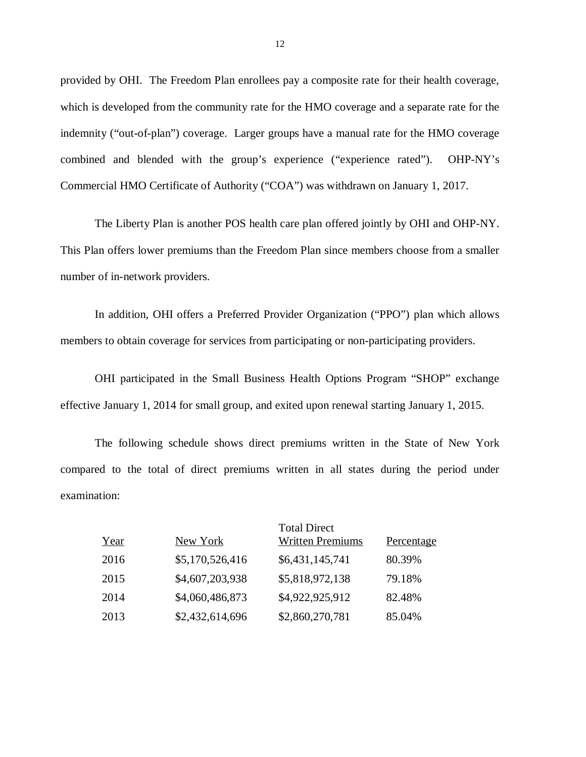provided by OHI. The Freedom Plan enrollees pay a composite rate for their health coverage, which is developed from the community rate for the HMO coverage and a separate rate for the indemnity ("out-of-plan") coverage. Larger groups have a manual rate for the HMO coverage combined and blended with the group's experience ("experience rated"). OHP-NY's Commercial HMO Certificate of Authority ("COA") was withdrawn on January 1, 2017.

 The Liberty Plan is another POS health care plan offered jointly by OHI and OHP-NY. This Plan offers lower premiums than the Freedom Plan since members choose from a smaller number of in-network providers.

 members to obtain coverage for services from participating or non-participating providers. In addition, OHI offers a Preferred Provider Organization ("PPO") plan which allows

 OHI participated in the Small Business Health Options Program "SHOP" exchange effective January 1, 2014 for small group, and exited upon renewal starting January 1, 2015.

 The following schedule shows direct premiums written in the State of New York compared to the total of direct premiums written in all states during the period under examination:

| Year | New York        | <b>Total Direct</b><br><b>Written Premiums</b> | Percentage |
|------|-----------------|------------------------------------------------|------------|
| 2016 | \$5,170,526,416 | \$6,431,145,741                                | 80.39%     |
| 2015 | \$4,607,203,938 | \$5,818,972,138                                | 79.18%     |
| 2014 | \$4,060,486,873 | \$4,922,925,912                                | 82.48%     |
| 2013 | \$2,432,614,696 | \$2,860,270,781                                | 85.04%     |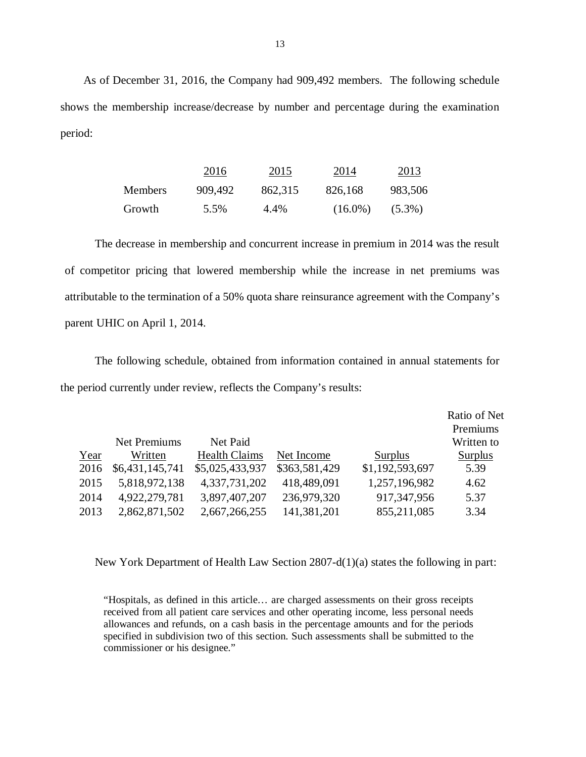shows the membership increase/decrease by number and percentage during the examination As of December 31, 2016, the Company had 909,492 members. The following schedule period:

|         | 2016    | 2015    | 2014       | 2013      |
|---------|---------|---------|------------|-----------|
| Members | 909,492 | 862,315 | 826,168    | 983,506   |
| Growth  | 5.5%    | 4.4%    | $(16.0\%)$ | $(5.3\%)$ |

 of competitor pricing that lowered membership while the increase in net premiums was attributable to the termination of a 50% quota share reinsurance agreement with the Company's parent UHIC on April 1, 2014. The decrease in membership and concurrent increase in premium in 2014 was the result

 the period currently under review, reflects the Company's results: The following schedule, obtained from information contained in annual statements for

|      |                     |                      |               |                 | Ratio of Net   |
|------|---------------------|----------------------|---------------|-----------------|----------------|
|      |                     |                      |               |                 | Premiums       |
|      | <b>Net Premiums</b> | Net Paid             |               |                 | Written to     |
| Year | Written             | <b>Health Claims</b> | Net Income    | <b>Surplus</b>  | <b>Surplus</b> |
| 2016 | \$6,431,145,741     | \$5,025,433,937      | \$363,581,429 | \$1,192,593,697 | 5.39           |
| 2015 | 5,818,972,138       | 4,337,731,202        | 418,489,091   | 1,257,196,982   | 4.62           |
| 2014 | 4,922,279,781       | 3,897,407,207        | 236,979,320   | 917, 347, 956   | 5.37           |
| 2013 | 2,862,871,502       | 2,667,266,255        | 141,381,201   | 855,211,085     | 3.34           |

New York Department of Health Law Section 2807-d(1)(a) states the following in part:

 "Hospitals, as defined in this article… are charged assessments on their gross receipts received from all patient care services and other operating income, less personal needs allowances and refunds, on a cash basis in the percentage amounts and for the periods specified in subdivision two of this section. Such assessments shall be submitted to the commissioner or his designee."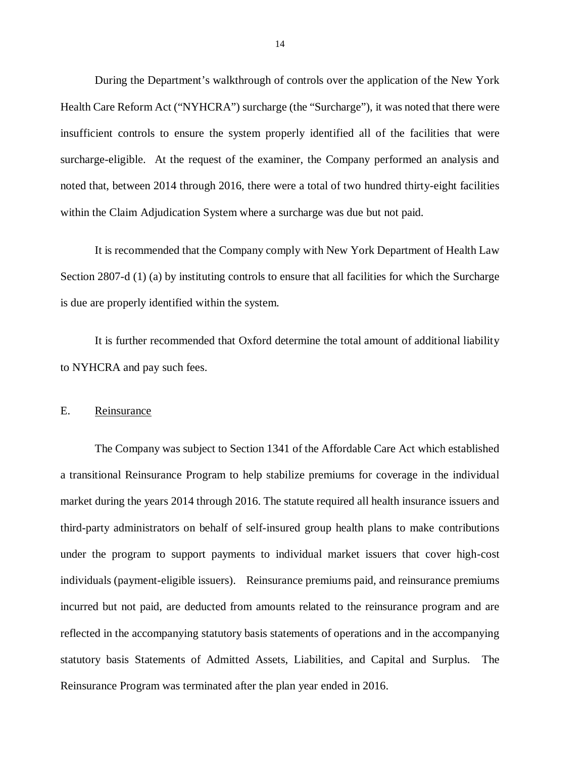<span id="page-15-0"></span> During the Department's walkthrough of controls over the application of the New York Health Care Reform Act ("NYHCRA") surcharge (the "Surcharge"), it was noted that there were insufficient controls to ensure the system properly identified all of the facilities that were surcharge-eligible. At the request of the examiner, the Company performed an analysis and noted that, between 2014 through 2016, there were a total of two hundred thirty-eight facilities within the Claim Adjudication System where a surcharge was due but not paid.

 It is recommended that the Company comply with New York Department of Health Law Section 2807-d (1) (a) by instituting controls to ensure that all facilities for which the Surcharge is due are properly identified within the system.

 It is further recommended that Oxford determine the total amount of additional liability to NYHCRA and pay such fees.

#### E. Reinsurance

 The Company was subject to Section 1341 of the Affordable Care Act which established a transitional Reinsurance Program to help stabilize premiums for coverage in the individual market during the years 2014 through 2016. The statute required all health insurance issuers and third-party administrators on behalf of self-insured group health plans to make contributions under the program to support payments to individual market issuers that cover high-cost individuals (payment-eligible issuers). Reinsurance premiums paid, and reinsurance premiums incurred but not paid, are deducted from amounts related to the reinsurance program and are reflected in the accompanying statutory basis statements of operations and in the accompanying statutory basis Statements of Admitted Assets, Liabilities, and Capital and Surplus. The Reinsurance Program was terminated after the plan year ended in 2016.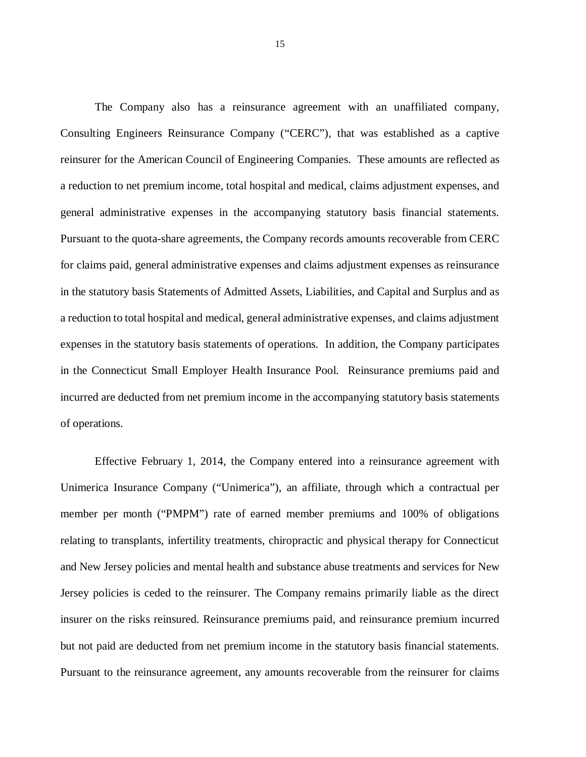The Company also has a reinsurance agreement with an unaffiliated company, Consulting Engineers Reinsurance Company ("CERC"), that was established as a captive reinsurer for the American Council of Engineering Companies. These amounts are reflected as a reduction to net premium income, total hospital and medical, claims adjustment expenses, and general administrative expenses in the accompanying statutory basis financial statements. Pursuant to the quota-share agreements, the Company records amounts recoverable from CERC for claims paid, general administrative expenses and claims adjustment expenses as reinsurance in the statutory basis Statements of Admitted Assets, Liabilities, and Capital and Surplus and as a reduction to total hospital and medical, general administrative expenses, and claims adjustment expenses in the statutory basis statements of operations. In addition, the Company participates in the Connecticut Small Employer Health Insurance Pool. Reinsurance premiums paid and incurred are deducted from net premium income in the accompanying statutory basis statements of operations.

 Effective February 1, 2014, the Company entered into a reinsurance agreement with Unimerica Insurance Company ("Unimerica"), an affiliate, through which a contractual per member per month ("PMPM") rate of earned member premiums and 100% of obligations relating to transplants, infertility treatments, chiropractic and physical therapy for Connecticut and New Jersey policies and mental health and substance abuse treatments and services for New Jersey policies is ceded to the reinsurer. The Company remains primarily liable as the direct insurer on the risks reinsured. Reinsurance premiums paid, and reinsurance premium incurred but not paid are deducted from net premium income in the statutory basis financial statements. Pursuant to the reinsurance agreement, any amounts recoverable from the reinsurer for claims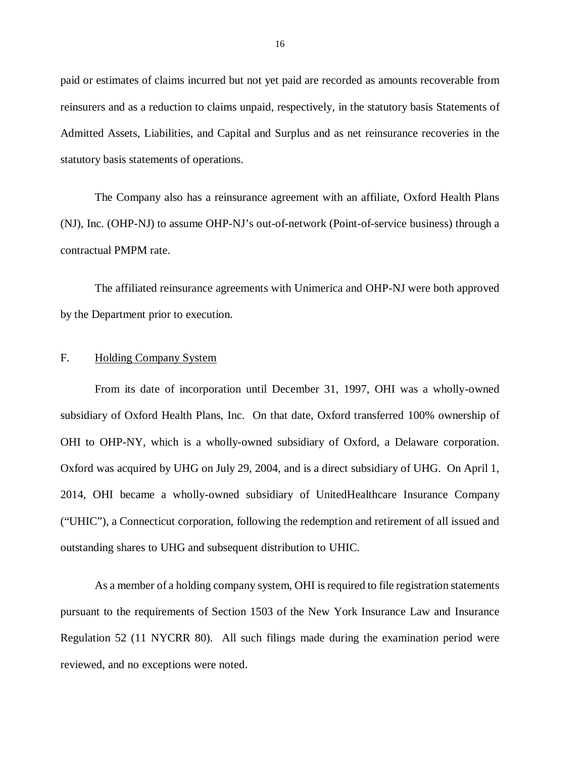<span id="page-17-0"></span> paid or estimates of claims incurred but not yet paid are recorded as amounts recoverable from reinsurers and as a reduction to claims unpaid, respectively, in the statutory basis Statements of Admitted Assets, Liabilities, and Capital and Surplus and as net reinsurance recoveries in the statutory basis statements of operations.

 The Company also has a reinsurance agreement with an affiliate, Oxford Health Plans (NJ), Inc. (OHP-NJ) to assume OHP-NJ's out-of-network (Point-of-service business) through a contractual PMPM rate.

 The affiliated reinsurance agreements with Unimerica and OHP-NJ were both approved by the Department prior to execution.

### F. Holding Company System

 From its date of incorporation until December 31, 1997, OHI was a wholly-owned subsidiary of Oxford Health Plans, Inc. On that date, Oxford transferred 100% ownership of OHI to OHP-NY, which is a wholly-owned subsidiary of Oxford, a Delaware corporation. Oxford was acquired by UHG on July 29, 2004, and is a direct subsidiary of UHG. On April 1, 2014, OHI became a wholly-owned subsidiary of UnitedHealthcare Insurance Company ("UHIC"), a Connecticut corporation, following the redemption and retirement of all issued and outstanding shares to UHG and subsequent distribution to UHIC.

 pursuant to the requirements of Section 1503 of the New York Insurance Law and Insurance Regulation 52 (11 NYCRR 80). All such filings made during the examination period were reviewed, and no exceptions were noted. As a member of a holding company system, OHI is required to file registration statements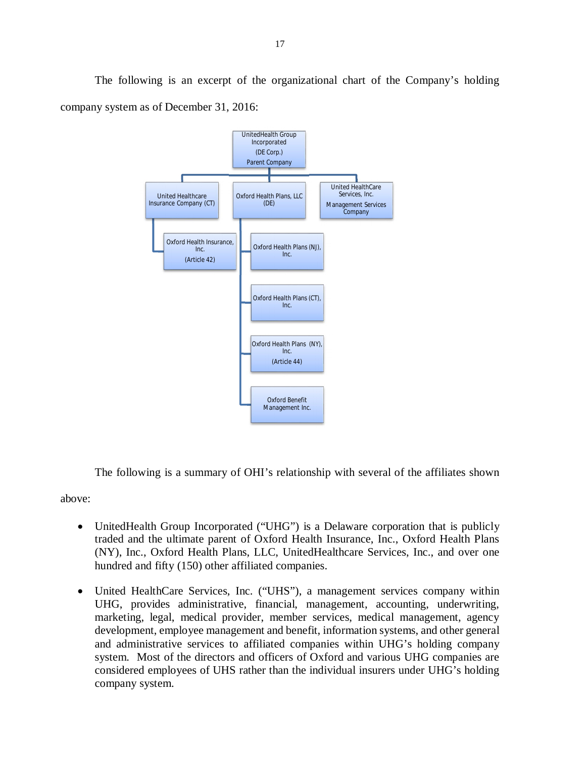UnitedHealth Group United Healthcare Insurance Company (CT) Oxford Health Insurance, Oxford Health Plans, LLC Oxford Health Plans (NJ), Oxford Health Plans (CT), Oxford Health Plans (NY), Oxford Benefit United HealthCare Management Services Incorporated (DE Corp.) Parent Company Inc. (Article 42) (DE) Inc. Inc. Inc. (Article 44) Management Inc. Services, Inc. **Company** 

 company system as of December 31, 2016: The following is an excerpt of the organizational chart of the Company's holding

The following is a summary of OHI's relationship with several of the affiliates shown

above:

- UnitedHealth Group Incorporated ("UHG") is a Delaware corporation that is publicly traded and the ultimate parent of Oxford Health Insurance, Inc., Oxford Health Plans (NY), Inc., Oxford Health Plans, LLC, UnitedHealthcare Services, Inc., and over one hundred and fifty (150) other affiliated companies.
- United HealthCare Services, Inc. ("UHS"), a management services company within UHG, provides administrative, financial, management, accounting, underwriting, marketing, legal, medical provider, member services, medical management, agency development, employee management and benefit, information systems, and other general and administrative services to affiliated companies within UHG's holding company system. Most of the directors and officers of Oxford and various UHG companies are considered employees of UHS rather than the individual insurers under UHG's holding company system.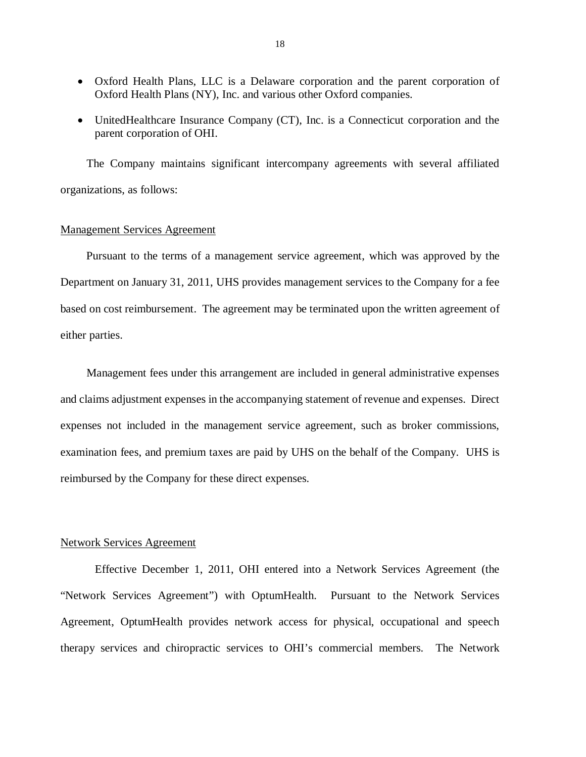- Oxford Health Plans, LLC is a Delaware corporation and the parent corporation of Oxford Health Plans (NY), Inc. and various other Oxford companies.
- UnitedHealthcare Insurance Company (CT), Inc. is a Connecticut corporation and the parent corporation of OHI.

 The Company maintains significant intercompany agreements with several affiliated organizations, as follows:

### Management Services Agreement

 Pursuant to the terms of a management service agreement, which was approved by the Department on January 31, 2011, UHS provides management services to the Company for a fee based on cost reimbursement. The agreement may be terminated upon the written agreement of either parties.

 Management fees under this arrangement are included in general administrative expenses and claims adjustment expenses in the accompanying statement of revenue and expenses. Direct expenses not included in the management service agreement, such as broker commissions, examination fees, and premium taxes are paid by UHS on the behalf of the Company. UHS is reimbursed by the Company for these direct expenses.

### Network Services Agreement

 Effective December 1, 2011, OHI entered into a Network Services Agreement (the "Network Services Agreement") with OptumHealth. Pursuant to the Network Services Agreement, OptumHealth provides network access for physical, occupational and speech therapy services and chiropractic services to OHI's commercial members. The Network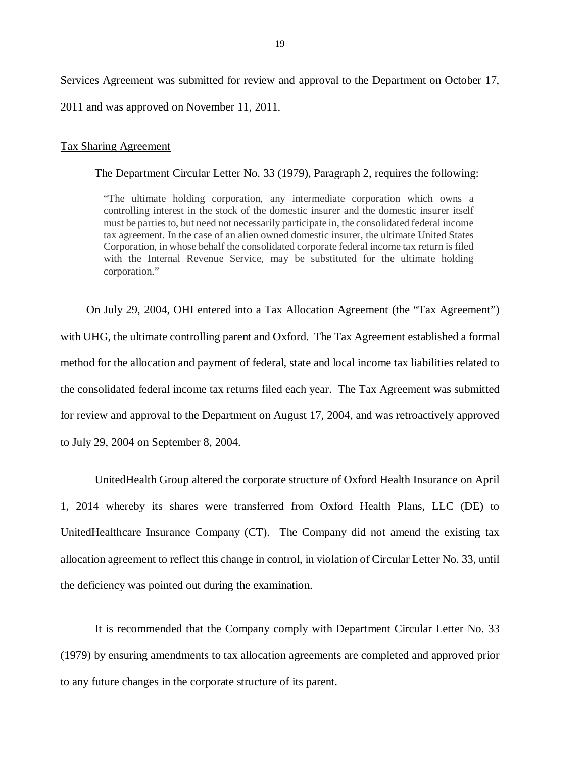Services Agreement was submitted for review and approval to the Department on October 17, 2011 and was approved on November 11, 2011.

### Tax Sharing Agreement

The Department Circular Letter No. 33 (1979), Paragraph 2, requires the following:

 "The ultimate holding corporation, any intermediate corporation which owns a controlling interest in the stock of the domestic insurer and the domestic insurer itself must be parties to, but need not necessarily participate in, the consolidated federal income tax agreement. In the case of an alien owned domestic insurer, the ultimate United States Corporation, in whose behalf the consolidated corporate federal income tax return is filed with the Internal Revenue Service, may be substituted for the ultimate holding corporation."

 On July 29, 2004, OHI entered into a Tax Allocation Agreement (the "Tax Agreement") with UHG, the ultimate controlling parent and Oxford. The Tax Agreement established a formal method for the allocation and payment of federal, state and local income tax liabilities related to the consolidated federal income tax returns filed each year. The Tax Agreement was submitted for review and approval to the Department on August 17, 2004, and was retroactively approved to July 29, 2004 on September 8, 2004.

 UnitedHealth Group altered the corporate structure of Oxford Health Insurance on April 1, 2014 whereby its shares were transferred from Oxford Health Plans, LLC (DE) to UnitedHealthcare Insurance Company (CT). The Company did not amend the existing tax allocation agreement to reflect this change in control, in violation of Circular Letter No. 33, until the deficiency was pointed out during the examination.

 It is recommended that the Company comply with Department Circular Letter No. 33 (1979) by ensuring amendments to tax allocation agreements are completed and approved prior to any future changes in the corporate structure of its parent.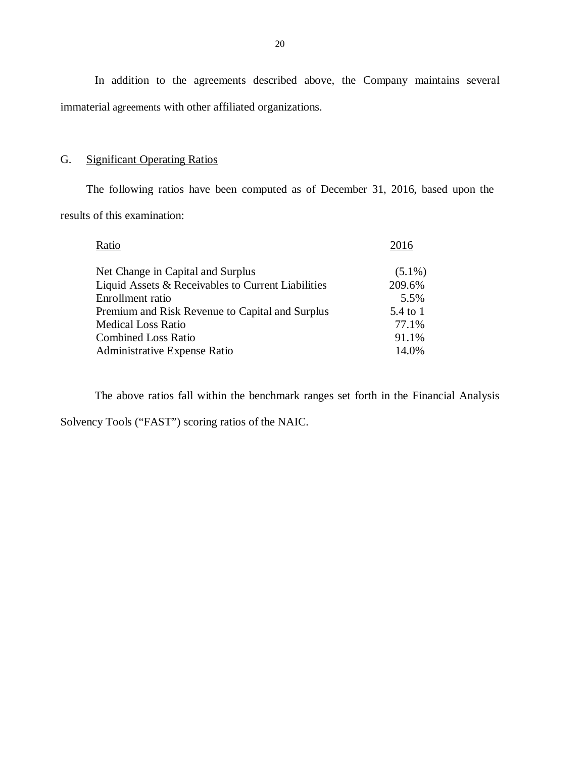In addition to the agreements described above, the Company maintains several immaterial agreements with other affiliated organizations.

### G. **Significant Operating Ratios**

 results of this examination: The following ratios have been computed as of December 31, 2016, based upon the

| Ratio                                              | 2016      |
|----------------------------------------------------|-----------|
| Net Change in Capital and Surplus                  | $(5.1\%)$ |
| Liquid Assets & Receivables to Current Liabilities | 209.6%    |
| Enrollment ratio                                   | 5.5%      |
| Premium and Risk Revenue to Capital and Surplus    | 5.4 to 1  |
| <b>Medical Loss Ratio</b>                          | 77.1%     |
| <b>Combined Loss Ratio</b>                         | 91.1%     |
| <b>Administrative Expense Ratio</b>                | 14.0%     |

The above ratios fall within the benchmark ranges set forth in the Financial Analysis

Solvency Tools ("FAST") scoring ratios of the NAIC.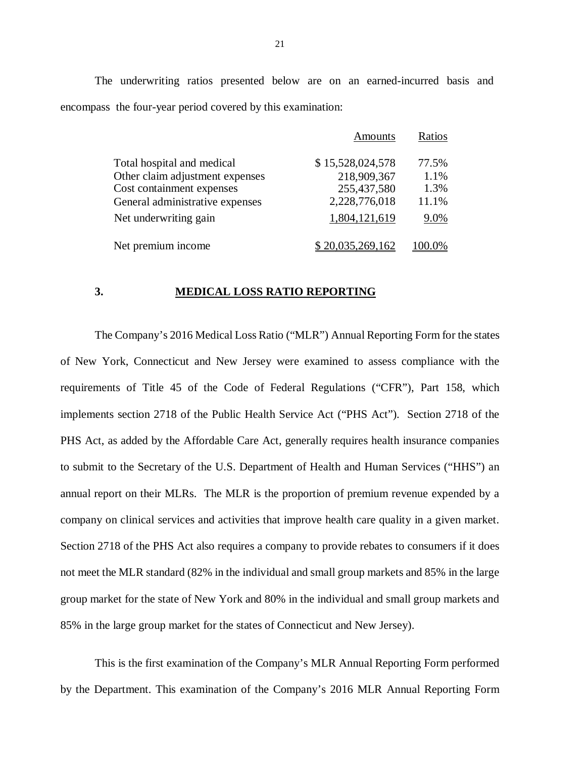The underwriting ratios presented below are on an earned-incurred basis and encompass the four-year period covered by this examination:

|                                 | Amounts          | Ratios |
|---------------------------------|------------------|--------|
| Total hospital and medical      | \$15,528,024,578 | 77.5%  |
| Other claim adjustment expenses | 218,909,367      | 1.1%   |
| Cost containment expenses       | 255,437,580      | 1.3%   |
| General administrative expenses | 2,228,776,018    | 11.1%  |
| Net underwriting gain           | 1,804,121,619    | 9.0%   |
| Net premium income              | \$20,035,269,162 | 100.0% |

#### $3.$ **3. MEDICAL LOSS RATIO REPORTING**

 The Company's 2016 Medical Loss Ratio ("MLR") Annual Reporting Form for the states of New York, Connecticut and New Jersey were examined to assess compliance with the requirements of Title 45 of the Code of Federal Regulations ("CFR"), Part 158, which implements section 2718 of the Public Health Service Act ("PHS Act"). Section 2718 of the PHS Act, as added by the Affordable Care Act, generally requires health insurance companies to submit to the Secretary of the U.S. Department of Health and Human Services ("HHS") an annual report on their MLRs. The MLR is the proportion of premium revenue expended by a company on clinical services and activities that improve health care quality in a given market. Section 2718 of the PHS Act also requires a company to provide rebates to consumers if it does not meet the MLR standard (82% in the individual and small group markets and 85% in the large group market for the state of New York and 80% in the individual and small group markets and 85% in the large group market for the states of Connecticut and New Jersey).

 This is the first examination of the Company's MLR Annual Reporting Form performed by the Department. This examination of the Company's 2016 MLR Annual Reporting Form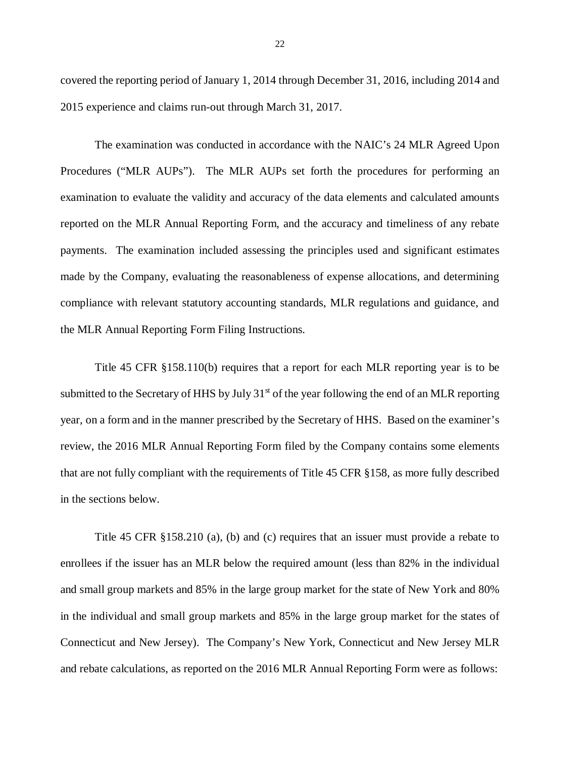covered the reporting period of January 1, 2014 through December 31, 2016, including 2014 and 2015 experience and claims run-out through March 31, 2017.

 The examination was conducted in accordance with the NAIC's 24 MLR Agreed Upon Procedures ("MLR AUPs"). The MLR AUPs set forth the procedures for performing an examination to evaluate the validity and accuracy of the data elements and calculated amounts reported on the MLR Annual Reporting Form, and the accuracy and timeliness of any rebate payments. The examination included assessing the principles used and significant estimates made by the Company, evaluating the reasonableness of expense allocations, and determining compliance with relevant statutory accounting standards, MLR regulations and guidance, and the MLR Annual Reporting Form Filing Instructions.

 Title 45 CFR §158.110(b) requires that a report for each MLR reporting year is to be submitted to the Secretary of HHS by July 31<sup>st</sup> of the year following the end of an MLR reporting year, on a form and in the manner prescribed by the Secretary of HHS. Based on the examiner's review, the 2016 MLR Annual Reporting Form filed by the Company contains some elements that are not fully compliant with the requirements of Title 45 CFR §158, as more fully described in the sections below.

 Title 45 CFR §158.210 (a), (b) and (c) requires that an issuer must provide a rebate to enrollees if the issuer has an MLR below the required amount (less than 82% in the individual and small group markets and 85% in the large group market for the state of New York and 80% in the individual and small group markets and 85% in the large group market for the states of Connecticut and New Jersey). The Company's New York, Connecticut and New Jersey MLR and rebate calculations, as reported on the 2016 MLR Annual Reporting Form were as follows: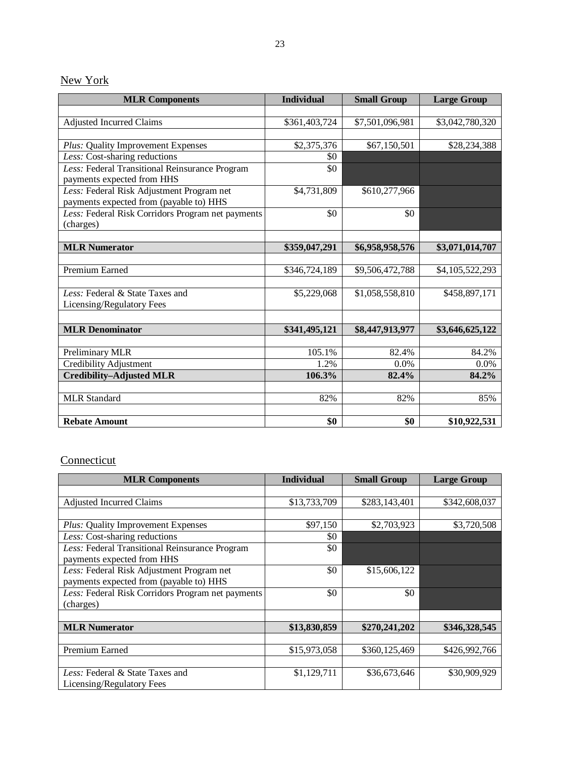## New York

| <b>MLR Components</b>                                                                | <b>Individual</b> | <b>Small Group</b> | <b>Large Group</b> |
|--------------------------------------------------------------------------------------|-------------------|--------------------|--------------------|
|                                                                                      |                   |                    |                    |
| <b>Adjusted Incurred Claims</b>                                                      | \$361,403,724     | \$7,501,096,981    | \$3,042,780,320    |
|                                                                                      |                   |                    |                    |
| Plus: Quality Improvement Expenses                                                   | \$2,375,376       | \$67,150,501       | \$28,234,388       |
| Less: Cost-sharing reductions                                                        | \$0               |                    |                    |
| Less: Federal Transitional Reinsurance Program<br>payments expected from HHS         | \$0               |                    |                    |
| Less: Federal Risk Adjustment Program net<br>payments expected from (payable to) HHS | \$4,731,809       | \$610,277,966      |                    |
| Less: Federal Risk Corridors Program net payments                                    | \$0               | $\overline{50}$    |                    |
| (charges)                                                                            |                   |                    |                    |
|                                                                                      |                   |                    |                    |
| <b>MLR Numerator</b>                                                                 | \$359,047,291     | \$6,958,958,576    | \$3,071,014,707    |
|                                                                                      |                   |                    |                    |
| Premium Earned                                                                       | \$346,724,189     | \$9,506,472,788    | \$4,105,522,293    |
|                                                                                      |                   |                    |                    |
| Less: Federal & State Taxes and                                                      | \$5,229,068       | \$1,058,558,810    | \$458,897,171      |
| Licensing/Regulatory Fees                                                            |                   |                    |                    |
|                                                                                      |                   |                    |                    |
| <b>MLR</b> Denominator                                                               | \$341,495,121     | \$8,447,913,977    | \$3,646,625,122    |
|                                                                                      |                   |                    |                    |
| Preliminary MLR                                                                      | 105.1%            | 82.4%              | 84.2%              |
| Credibility Adjustment                                                               | 1.2%              | $0.0\%$            | $0.0\%$            |
| <b>Credibility-Adjusted MLR</b>                                                      | 106.3%            | 82.4%              | 84.2%              |
|                                                                                      |                   |                    |                    |
| <b>MLR Standard</b>                                                                  | 82%               | 82%                | 85%                |
|                                                                                      |                   |                    |                    |
| <b>Rebate Amount</b>                                                                 | \$0               | \$0                | \$10,922,531       |

## **Connecticut**

| <b>MLR Components</b>                             | <b>Individual</b> | <b>Small Group</b> | <b>Large Group</b> |
|---------------------------------------------------|-------------------|--------------------|--------------------|
|                                                   |                   |                    |                    |
| <b>Adjusted Incurred Claims</b>                   | \$13,733,709      | \$283,143,401      | \$342,608,037      |
|                                                   |                   |                    |                    |
| Plus: Quality Improvement Expenses                | \$97,150          | \$2,703,923        | \$3,720,508        |
| Less: Cost-sharing reductions                     | \$0               |                    |                    |
| Less: Federal Transitional Reinsurance Program    | \$0               |                    |                    |
| payments expected from HHS                        |                   |                    |                    |
| Less: Federal Risk Adjustment Program net         | \$0               | \$15,606,122       |                    |
| payments expected from (payable to) HHS           |                   |                    |                    |
| Less: Federal Risk Corridors Program net payments | \$0               | \$0                |                    |
| (charges)                                         |                   |                    |                    |
|                                                   |                   |                    |                    |
| <b>MLR Numerator</b>                              | \$13,830,859      | \$270,241,202      | \$346,328,545      |
|                                                   |                   |                    |                    |
| Premium Earned                                    | \$15,973,058      | \$360,125,469      | \$426,992,766      |
|                                                   |                   |                    |                    |
| Less: Federal & State Taxes and                   | \$1,129,711       | \$36,673,646       | \$30,909,929       |
| Licensing/Regulatory Fees                         |                   |                    |                    |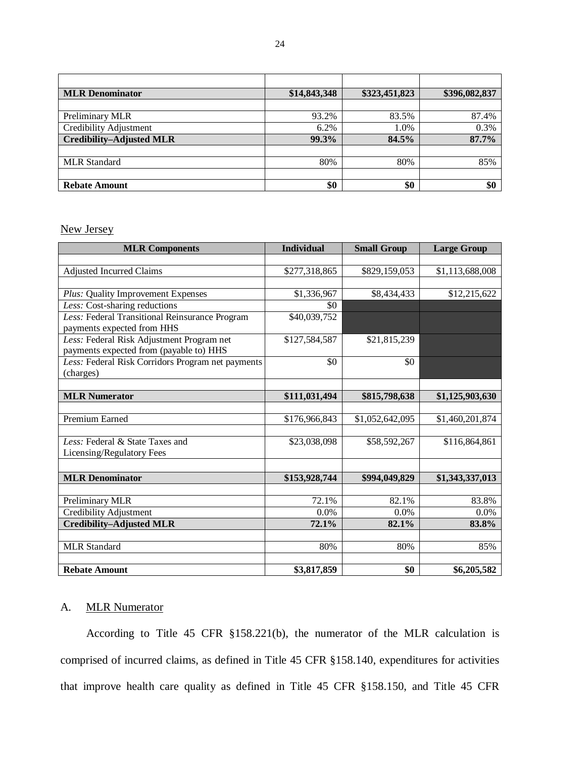| <b>MLR</b> Denominator          | \$14,843,348 | \$323,451,823 | \$396,082,837 |
|---------------------------------|--------------|---------------|---------------|
|                                 |              |               |               |
| Preliminary MLR                 | 93.2%        | 83.5%         | 87.4%         |
| <b>Credibility Adjustment</b>   | 6.2%         | 1.0%          | 0.3%          |
| <b>Credibility-Adjusted MLR</b> | 99.3%        | 84.5%         | 87.7%         |
|                                 |              |               |               |
| <b>MLR</b> Standard             | 80%          | 80%           | 85%           |
|                                 |              |               |               |
| <b>Rebate Amount</b>            | \$0          | \$0           | \$0           |

New Jersey

| <b>MLR Components</b>                             | <b>Individual</b> | <b>Small Group</b> | <b>Large Group</b> |
|---------------------------------------------------|-------------------|--------------------|--------------------|
|                                                   |                   |                    |                    |
| <b>Adjusted Incurred Claims</b>                   | \$277,318,865     | \$829,159,053      | \$1,113,688,008    |
|                                                   |                   |                    |                    |
| Plus: Quality Improvement Expenses                | \$1,336,967       | \$8,434,433        | \$12,215,622       |
| Less: Cost-sharing reductions                     | \$0               |                    |                    |
| Less: Federal Transitional Reinsurance Program    | \$40,039,752      |                    |                    |
| payments expected from HHS                        |                   |                    |                    |
| Less: Federal Risk Adjustment Program net         | \$127,584,587     | \$21,815,239       |                    |
| payments expected from (payable to) HHS           |                   |                    |                    |
| Less: Federal Risk Corridors Program net payments | \$0               | \$0                |                    |
| (charges)                                         |                   |                    |                    |
|                                                   |                   |                    |                    |
| <b>MLR Numerator</b>                              | \$111,031,494     | \$815,798,638      | \$1,125,903,630    |
|                                                   |                   |                    |                    |
| Premium Earned                                    | \$176,966,843     | \$1,052,642,095    | \$1,460,201,874    |
|                                                   |                   |                    |                    |
| Less: Federal & State Taxes and                   | \$23,038,098      | \$58,592,267       | \$116,864,861      |
| Licensing/Regulatory Fees                         |                   |                    |                    |
|                                                   |                   |                    |                    |
| <b>MLR Denominator</b>                            | \$153,928,744     | \$994,049,829      | \$1,343,337,013    |
|                                                   |                   |                    |                    |
| Preliminary MLR                                   | 72.1%             | 82.1%              | 83.8%              |
| <b>Credibility Adjustment</b>                     | 0.0%              | 0.0%               | 0.0%               |
| <b>Credibility-Adjusted MLR</b>                   | 72.1%             | 82.1%              | 83.8%              |
|                                                   |                   |                    |                    |
| <b>MLR</b> Standard                               | 80%               | 80%                | 85%                |
|                                                   |                   |                    |                    |
| <b>Rebate Amount</b>                              | \$3,817,859       | \$0                | \$6,205,582        |

### A. **MLR Numerator**

 comprised of incurred claims, as defined in Title 45 CFR §158.140, expenditures for activities that improve health care quality as defined in Title 45 CFR §158.150, and Title 45 CFR According to Title 45 CFR §158.221(b), the numerator of the MLR calculation is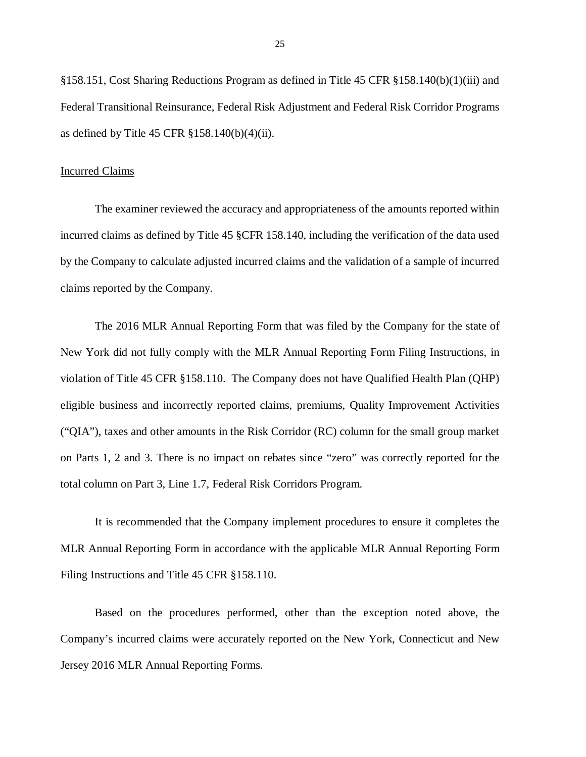§158.151, Cost Sharing Reductions Program as defined in Title 45 CFR §158.140(b)(1)(iii) and Federal Transitional Reinsurance, Federal Risk Adjustment and Federal Risk Corridor Programs as defined by Title 45 CFR §158.140(b)(4)(ii).

### Incurred Claims

 The examiner reviewed the accuracy and appropriateness of the amounts reported within incurred claims as defined by Title 45 §CFR 158.140, including the verification of the data used by the Company to calculate adjusted incurred claims and the validation of a sample of incurred claims reported by the Company.

 The 2016 MLR Annual Reporting Form that was filed by the Company for the state of New York did not fully comply with the MLR Annual Reporting Form Filing Instructions, in violation of Title 45 CFR §158.110. The Company does not have Qualified Health Plan (QHP) eligible business and incorrectly reported claims, premiums, Quality Improvement Activities ("QIA"), taxes and other amounts in the Risk Corridor (RC) column for the small group market on Parts 1, 2 and 3. There is no impact on rebates since "zero" was correctly reported for the total column on Part 3, Line 1.7, Federal Risk Corridors Program.

 It is recommended that the Company implement procedures to ensure it completes the MLR Annual Reporting Form in accordance with the applicable MLR Annual Reporting Form Filing Instructions and Title 45 CFR §158.110.

 Based on the procedures performed, other than the exception noted above, the Company's incurred claims were accurately reported on the New York, Connecticut and New Jersey 2016 MLR Annual Reporting Forms.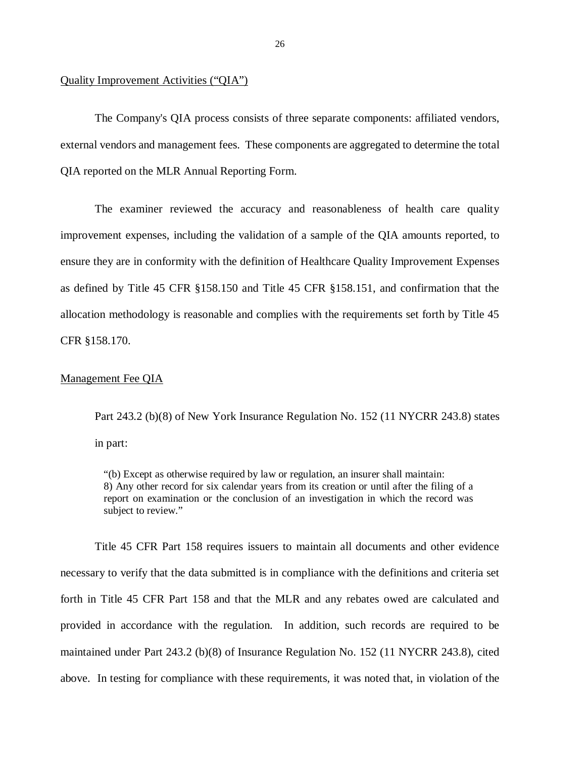### Quality Improvement Activities ("QIA")

 The Company's QIA process consists of three separate components: affiliated vendors, external vendors and management fees. These components are aggregated to determine the total QIA reported on the MLR Annual Reporting Form.

 The examiner reviewed the accuracy and reasonableness of health care quality improvement expenses, including the validation of a sample of the QIA amounts reported, to ensure they are in conformity with the definition of Healthcare Quality Improvement Expenses as defined by Title 45 CFR §158.150 and Title 45 CFR §158.151, and confirmation that the allocation methodology is reasonable and complies with the requirements set forth by Title 45 CFR §158.170.

### Management Fee QIA

 Part 243.2 (b)(8) of New York Insurance Regulation No. 152 (11 NYCRR 243.8) states in part:

 "(b) Except as otherwise required by law or regulation, an insurer shall maintain: 8) Any other record for six calendar years from its creation or until after the filing of a report on examination or the conclusion of an investigation in which the record was subject to review."

 Title 45 CFR Part 158 requires issuers to maintain all documents and other evidence necessary to verify that the data submitted is in compliance with the definitions and criteria set forth in Title 45 CFR Part 158 and that the MLR and any rebates owed are calculated and provided in accordance with the regulation. In addition, such records are required to be maintained under Part 243.2 (b)(8) of Insurance Regulation No. 152 (11 NYCRR 243.8), cited above. In testing for compliance with these requirements, it was noted that, in violation of the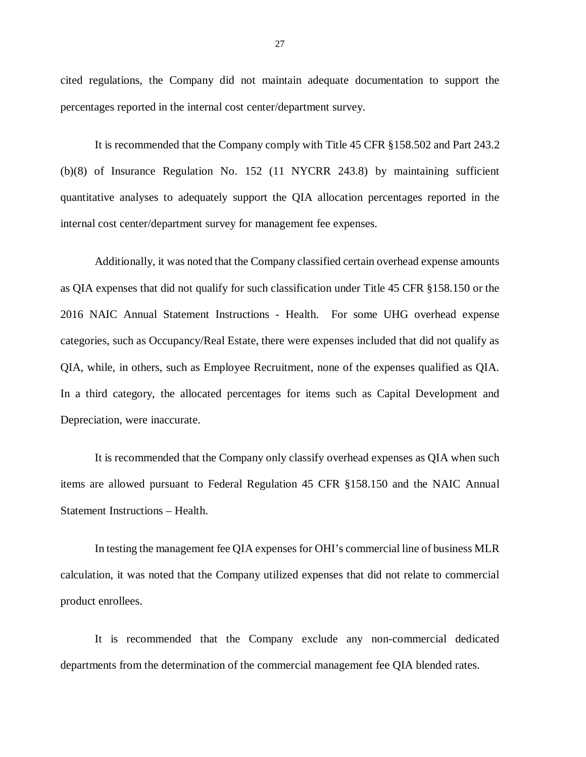cited regulations, the Company did not maintain adequate documentation to support the percentages reported in the internal cost center/department survey.

 It is recommended that the Company comply with Title 45 CFR §158.502 and Part 243.2 (b)(8) of Insurance Regulation No. 152 (11 NYCRR 243.8) by maintaining sufficient quantitative analyses to adequately support the QIA allocation percentages reported in the internal cost center/department survey for management fee expenses.

 Additionally, it was noted that the Company classified certain overhead expense amounts as QIA expenses that did not qualify for such classification under Title 45 CFR §158.150 or the 2016 NAIC Annual Statement Instructions - Health. For some UHG overhead expense categories, such as Occupancy/Real Estate, there were expenses included that did not qualify as QIA, while, in others, such as Employee Recruitment, none of the expenses qualified as QIA. In a third category, the allocated percentages for items such as Capital Development and Depreciation, were inaccurate.

 It is recommended that the Company only classify overhead expenses as QIA when such items are allowed pursuant to Federal Regulation 45 CFR §158.150 and the NAIC Annual Statement Instructions – Health.

 In testing the management fee QIA expenses for OHI's commercial line of business MLR calculation, it was noted that the Company utilized expenses that did not relate to commercial product enrollees.

 It is recommended that the Company exclude any non-commercial dedicated departments from the determination of the commercial management fee QIA blended rates.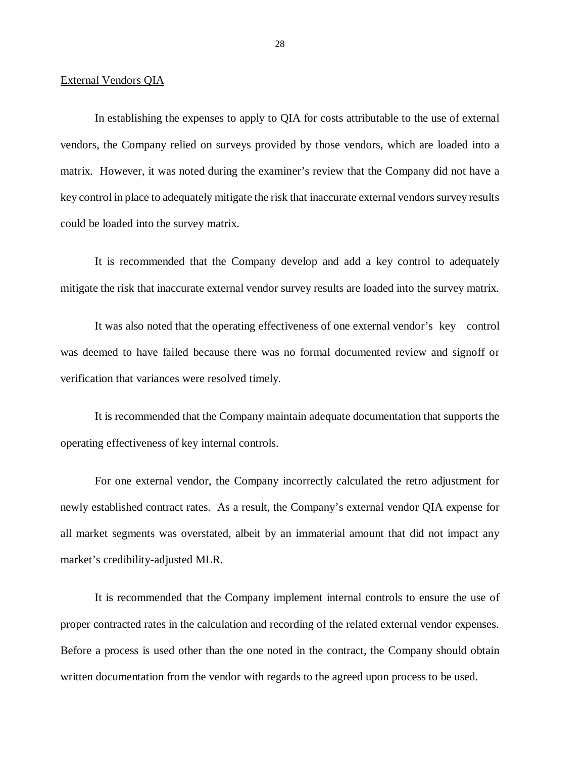### External Vendors QIA

 In establishing the expenses to apply to QIA for costs attributable to the use of external vendors, the Company relied on surveys provided by those vendors, which are loaded into a matrix. However, it was noted during the examiner's review that the Company did not have a key control in place to adequately mitigate the risk that inaccurate external vendors survey results could be loaded into the survey matrix.

 It is recommended that the Company develop and add a key control to adequately mitigate the risk that inaccurate external vendor survey results are loaded into the survey matrix.

 It was also noted that the operating effectiveness of one external vendor's key control was deemed to have failed because there was no formal documented review and signoff or verification that variances were resolved timely.

 It is recommended that the Company maintain adequate documentation that supports the operating effectiveness of key internal controls.

 For one external vendor, the Company incorrectly calculated the retro adjustment for newly established contract rates. As a result, the Company's external vendor QIA expense for all market segments was overstated, albeit by an immaterial amount that did not impact any market's credibility-adjusted MLR.

 It is recommended that the Company implement internal controls to ensure the use of proper contracted rates in the calculation and recording of the related external vendor expenses. Before a process is used other than the one noted in the contract, the Company should obtain written documentation from the vendor with regards to the agreed upon process to be used.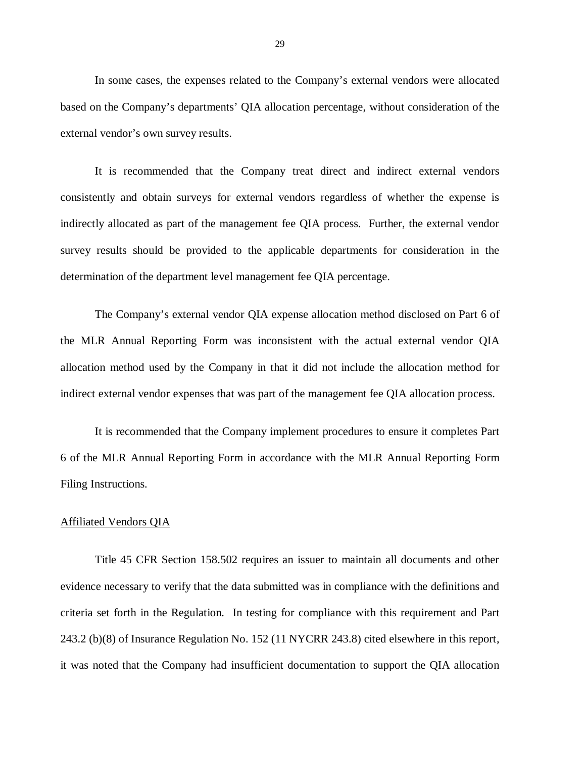In some cases, the expenses related to the Company's external vendors were allocated based on the Company's departments' QIA allocation percentage, without consideration of the external vendor's own survey results.

 It is recommended that the Company treat direct and indirect external vendors consistently and obtain surveys for external vendors regardless of whether the expense is indirectly allocated as part of the management fee QIA process. Further, the external vendor survey results should be provided to the applicable departments for consideration in the determination of the department level management fee QIA percentage.

 The Company's external vendor QIA expense allocation method disclosed on Part 6 of the MLR Annual Reporting Form was inconsistent with the actual external vendor QIA allocation method used by the Company in that it did not include the allocation method for indirect external vendor expenses that was part of the management fee QIA allocation process.

 It is recommended that the Company implement procedures to ensure it completes Part 6 of the MLR Annual Reporting Form in accordance with the MLR Annual Reporting Form Filing Instructions.

### Affiliated Vendors QIA

 Title 45 CFR Section 158.502 requires an issuer to maintain all documents and other evidence necessary to verify that the data submitted was in compliance with the definitions and criteria set forth in the Regulation. In testing for compliance with this requirement and Part 243.2 (b)(8) of Insurance Regulation No. 152 (11 NYCRR 243.8) cited elsewhere in this report, it was noted that the Company had insufficient documentation to support the QIA allocation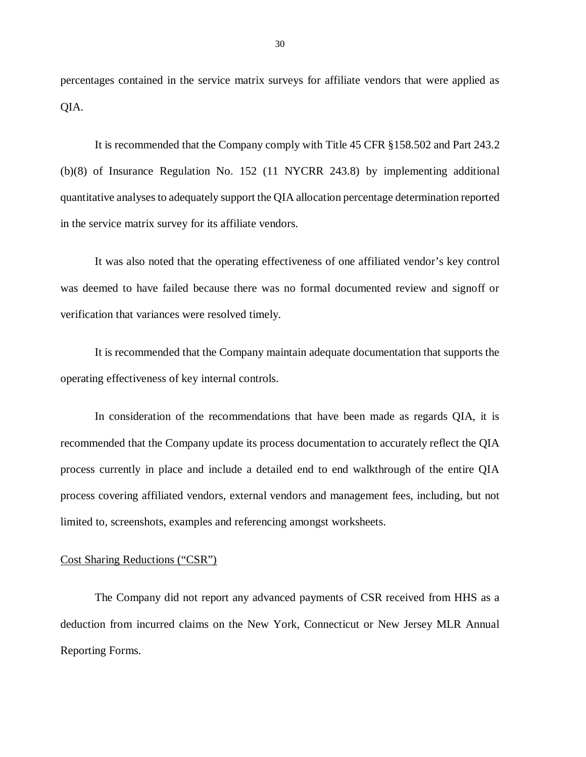percentages contained in the service matrix surveys for affiliate vendors that were applied as QIA.

 It is recommended that the Company comply with Title 45 CFR §158.502 and Part 243.2 (b)(8) of Insurance Regulation No. 152 (11 NYCRR 243.8) by implementing additional quantitative analyses to adequately support the QIA allocation percentage determination reported in the service matrix survey for its affiliate vendors.

 It was also noted that the operating effectiveness of one affiliated vendor's key control was deemed to have failed because there was no formal documented review and signoff or verification that variances were resolved timely.

 It is recommended that the Company maintain adequate documentation that supports the operating effectiveness of key internal controls.

 In consideration of the recommendations that have been made as regards QIA, it is recommended that the Company update its process documentation to accurately reflect the QIA process currently in place and include a detailed end to end walkthrough of the entire QIA process covering affiliated vendors, external vendors and management fees, including, but not limited to, screenshots, examples and referencing amongst worksheets.

### Cost Sharing Reductions ("CSR")

 The Company did not report any advanced payments of CSR received from HHS as a deduction from incurred claims on the New York, Connecticut or New Jersey MLR Annual Reporting Forms.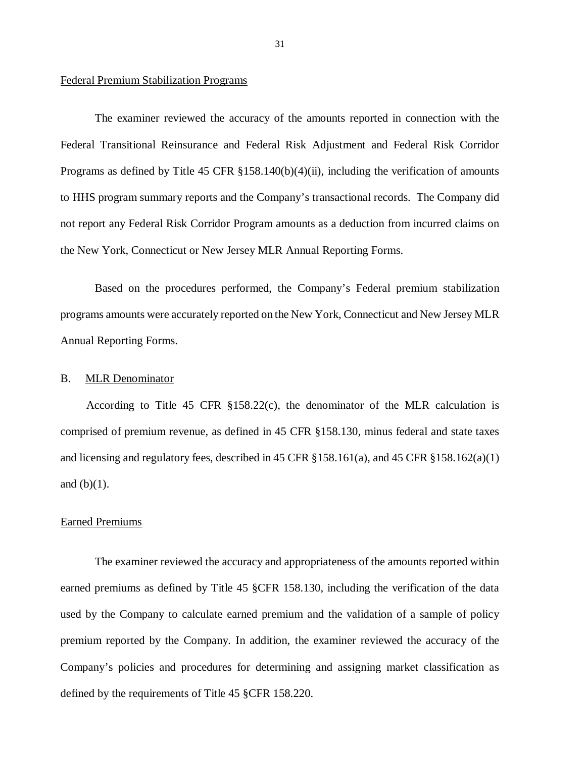### <span id="page-32-0"></span>Federal Premium Stabilization Programs

 The examiner reviewed the accuracy of the amounts reported in connection with the Programs as defined by Title 45 CFR §158.140(b)(4)(ii), including the verification of amounts to HHS program summary reports and the Company's transactional records. The Company did not report any Federal Risk Corridor Program amounts as a deduction from incurred claims on the New York, Connecticut or New Jersey MLR Annual Reporting Forms. Federal Transitional Reinsurance and Federal Risk Adjustment and Federal Risk Corridor

 Based on the procedures performed, the Company's Federal premium stabilization programs amounts were accurately reported on the New York, Connecticut and New Jersey MLR Annual Reporting Forms.

#### $B<sub>1</sub>$ MLR Denominator

 comprised of premium revenue, as defined in 45 CFR §158.130, minus federal and state taxes and licensing and regulatory fees, described in 45 CFR §158.161(a), and 45 CFR §158.162(a)(1) and  $(b)(1)$ . According to Title 45 CFR §158.22(c), the denominator of the MLR calculation is

### Earned Premiums

 The examiner reviewed the accuracy and appropriateness of the amounts reported within earned premiums as defined by Title 45 §CFR 158.130, including the verification of the data used by the Company to calculate earned premium and the validation of a sample of policy premium reported by the Company. In addition, the examiner reviewed the accuracy of the Company's policies and procedures for determining and assigning market classification as defined by the requirements of Title 45 §CFR 158.220.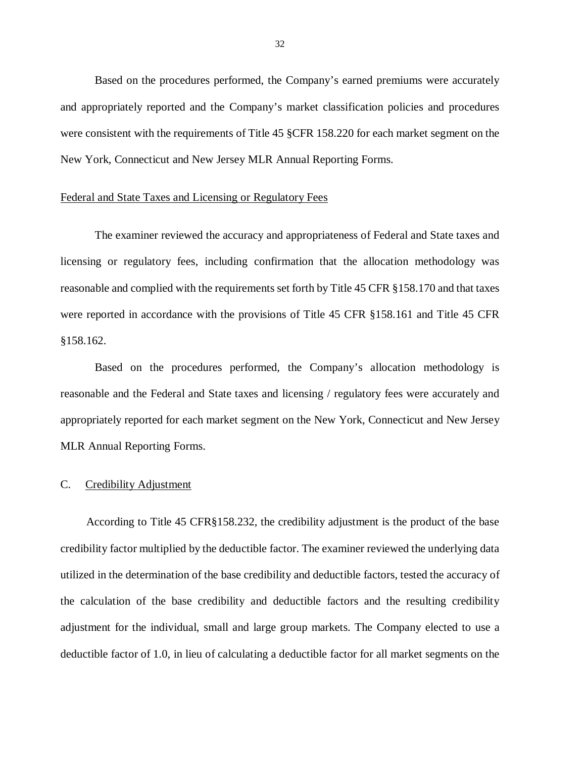<span id="page-33-0"></span> Based on the procedures performed, the Company's earned premiums were accurately and appropriately reported and the Company's market classification policies and procedures were consistent with the requirements of Title 45 §CFR 158.220 for each market segment on the New York, Connecticut and New Jersey MLR Annual Reporting Forms.

### Federal and State Taxes and Licensing or Regulatory Fees

 The examiner reviewed the accuracy and appropriateness of Federal and State taxes and licensing or regulatory fees, including confirmation that the allocation methodology was reasonable and complied with the requirements set forth by Title 45 CFR §158.170 and that taxes were reported in accordance with the provisions of Title 45 CFR §158.161 and Title 45 CFR §158.162. §158.162. Based on the procedures performed, the Company's allocation methodology is

 reasonable and the Federal and State taxes and licensing / regulatory fees were accurately and appropriately reported for each market segment on the New York, Connecticut and New Jersey MLR Annual Reporting Forms.

#### $C_{\cdot}$ Credibility Adjustment

 credibility factor multiplied by the deductible factor. The examiner reviewed the underlying data utilized in the determination of the base credibility and deductible factors, tested the accuracy of the calculation of the base credibility and deductible factors and the resulting credibility adjustment for the individual, small and large group markets. The Company elected to use a deductible factor of 1.0, in lieu of calculating a deductible factor for all market segments on the According to Title 45 CFR§158.232, the credibility adjustment is the product of the base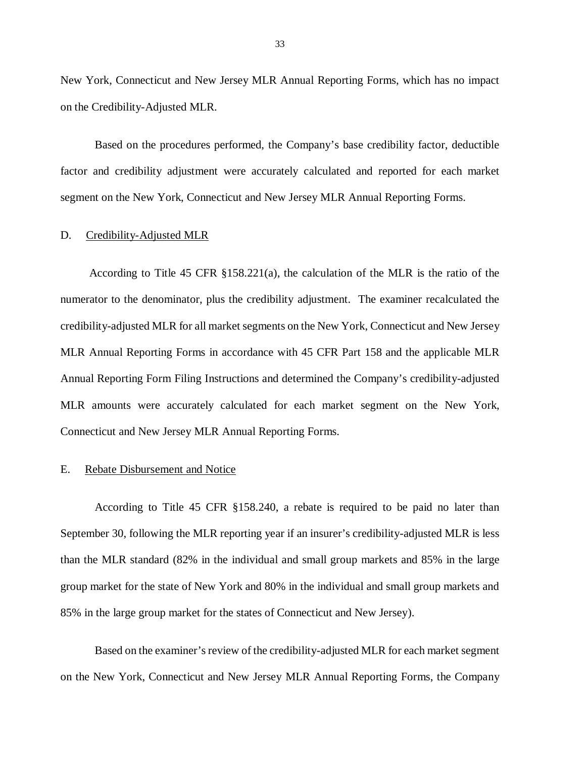<span id="page-34-0"></span> New York, Connecticut and New Jersey MLR Annual Reporting Forms, which has no impact on the Credibility-Adjusted MLR.

 Based on the procedures performed, the Company's base credibility factor, deductible factor and credibility adjustment were accurately calculated and reported for each market segment on the New York, Connecticut and New Jersey MLR Annual Reporting Forms.

#### D. Credibility-Adjusted MLR

 numerator to the denominator, plus the credibility adjustment. The examiner recalculated the credibility-adjusted MLR for all market segments on the New York, Connecticut and New Jersey MLR Annual Reporting Forms in accordance with 45 CFR Part 158 and the applicable MLR Annual Reporting Form Filing Instructions and determined the Company's credibility-adjusted MLR amounts were accurately calculated for each market segment on the New York, Connecticut and New Jersey MLR Annual Reporting Forms. According to Title 45 CFR §158.221(a), the calculation of the MLR is the ratio of the

#### E. Rebate Disbursement and Notice

 According to Title 45 CFR §158.240, a rebate is required to be paid no later than September 30, following the MLR reporting year if an insurer's credibility-adjusted MLR is less than the MLR standard (82% in the individual and small group markets and 85% in the large group market for the state of New York and 80% in the individual and small group markets and 85% in the large group market for the states of Connecticut and New Jersey).

 Based on the examiner's review of the credibility-adjusted MLR for each market segment on the New York, Connecticut and New Jersey MLR Annual Reporting Forms, the Company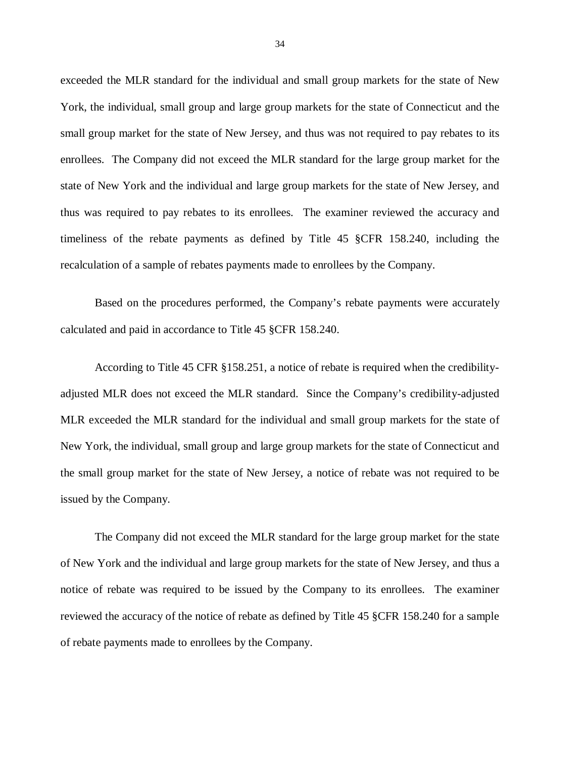exceeded the MLR standard for the individual and small group markets for the state of New York, the individual, small group and large group markets for the state of Connecticut and the small group market for the state of New Jersey, and thus was not required to pay rebates to its enrollees. The Company did not exceed the MLR standard for the large group market for the state of New York and the individual and large group markets for the state of New Jersey, and thus was required to pay rebates to its enrollees. The examiner reviewed the accuracy and timeliness of the rebate payments as defined by Title 45 §CFR 158.240, including the recalculation of a sample of rebates payments made to enrollees by the Company.

 Based on the procedures performed, the Company's rebate payments were accurately calculated and paid in accordance to Title 45 §CFR 158.240.

 According to Title 45 CFR §158.251, a notice of rebate is required when the credibility- adjusted MLR does not exceed the MLR standard. Since the Company's credibility-adjusted MLR exceeded the MLR standard for the individual and small group markets for the state of New York, the individual, small group and large group markets for the state of Connecticut and the small group market for the state of New Jersey, a notice of rebate was not required to be issued by the Company.

 The Company did not exceed the MLR standard for the large group market for the state of New York and the individual and large group markets for the state of New Jersey, and thus a notice of rebate was required to be issued by the Company to its enrollees. The examiner reviewed the accuracy of the notice of rebate as defined by Title 45 §CFR 158.240 for a sample of rebate payments made to enrollees by the Company.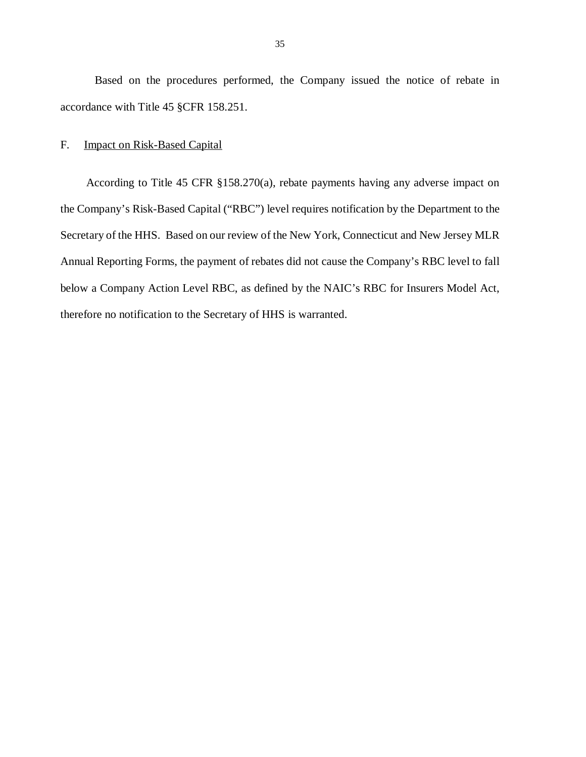<span id="page-36-0"></span> Based on the procedures performed, the Company issued the notice of rebate in accordance with Title 45 §CFR 158.251.

#### F. **Impact on Risk-Based Capital**

 the Company's Risk-Based Capital ("RBC") level requires notification by the Department to the Secretary of the HHS. Based on our review of the New York, Connecticut and New Jersey MLR Annual Reporting Forms, the payment of rebates did not cause the Company's RBC level to fall below a Company Action Level RBC, as defined by the NAIC's RBC for Insurers Model Act, therefore no notification to the Secretary of HHS is warranted. According to Title 45 CFR §158.270(a), rebate payments having any adverse impact on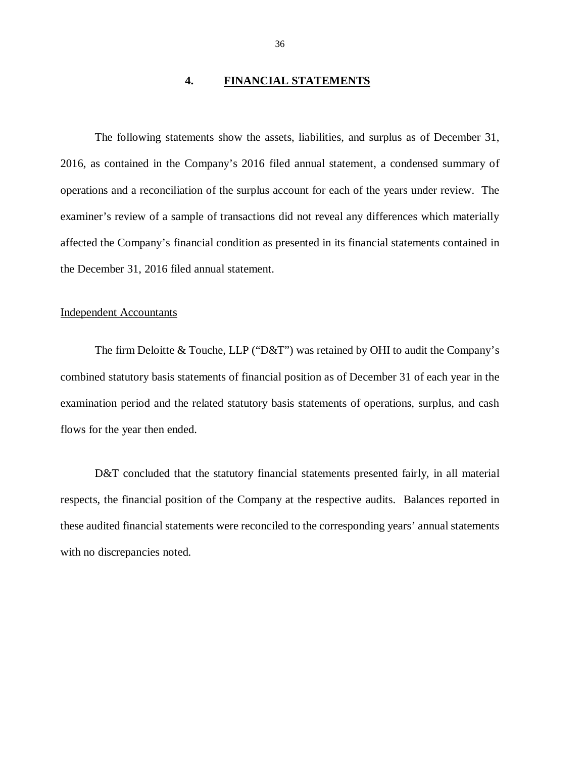### **4. FINANCIAL STATEMENTS**

<span id="page-37-0"></span> The following statements show the assets, liabilities, and surplus as of December 31, 2016, as contained in the Company's 2016 filed annual statement, a condensed summary of operations and a reconciliation of the surplus account for each of the years under review. The examiner's review of a sample of transactions did not reveal any differences which materially affected the Company's financial condition as presented in its financial statements contained in the December 31, 2016 filed annual statement.

### Independent Accountants

 The firm Deloitte & Touche, LLP ("D&T") was retained by OHI to audit the Company's combined statutory basis statements of financial position as of December 31 of each year in the examination period and the related statutory basis statements of operations, surplus, and cash flows for the year then ended.

D&T concluded that the statutory financial statements presented fairly, in all material respects, the financial position of the Company at the respective audits. Balances reported in these audited financial statements were reconciled to the corresponding years' annual statements with no discrepancies noted.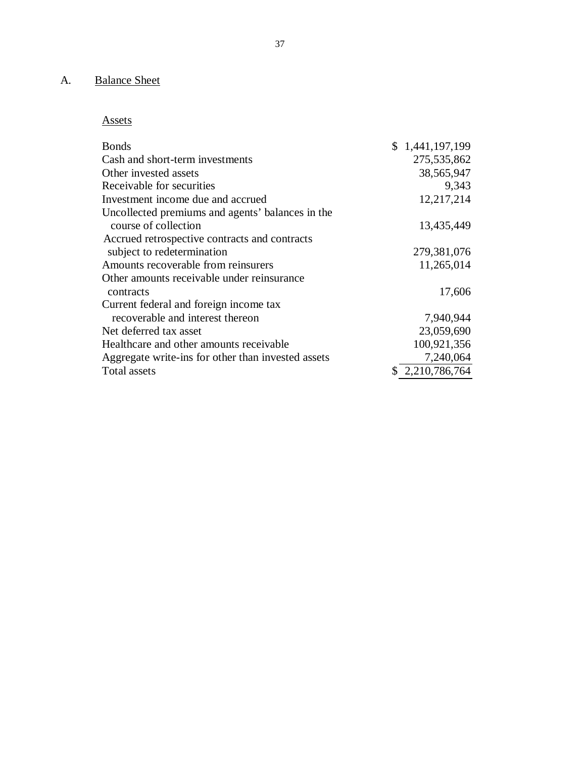### A. Balance Sheet

Assets

| <b>Bonds</b>                                       | $\mathbb{S}^-$<br>1,441,197,199 |
|----------------------------------------------------|---------------------------------|
| Cash and short-term investments                    | 275,535,862                     |
| Other invested assets                              | 38,565,947                      |
| Receivable for securities                          | 9,343                           |
| Investment income due and accrued                  | 12,217,214                      |
| Uncollected premiums and agents' balances in the   |                                 |
| course of collection                               | 13,435,449                      |
| Accrued retrospective contracts and contracts      |                                 |
| subject to redetermination                         | 279,381,076                     |
| Amounts recoverable from reinsurers                | 11,265,014                      |
| Other amounts receivable under reinsurance         |                                 |
| contracts                                          | 17,606                          |
| Current federal and foreign income tax             |                                 |
| recoverable and interest thereon                   | 7,940,944                       |
| Net deferred tax asset                             | 23,059,690                      |
| Healthcare and other amounts receivable            | 100,921,356                     |
| Aggregate write-ins for other than invested assets | 7,240,064                       |
| Total assets                                       | 2,210,786,764                   |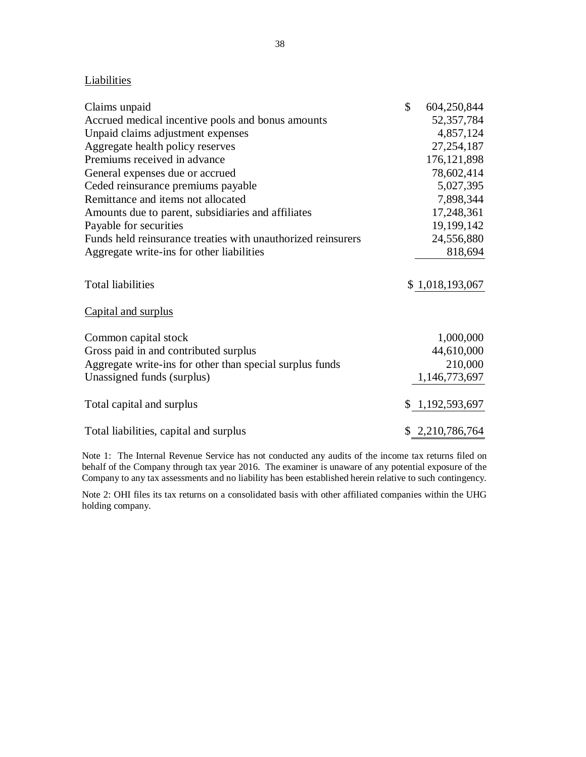## **Liabilities**

| Claims unpaid                                                | \$<br>604,250,844 |
|--------------------------------------------------------------|-------------------|
| Accrued medical incentive pools and bonus amounts            | 52, 357, 784      |
| Unpaid claims adjustment expenses                            | 4,857,124         |
| Aggregate health policy reserves                             | 27, 254, 187      |
| Premiums received in advance                                 | 176, 121, 898     |
| General expenses due or accrued                              | 78,602,414        |
| Ceded reinsurance premiums payable                           | 5,027,395         |
| Remittance and items not allocated                           | 7,898,344         |
| Amounts due to parent, subsidiaries and affiliates           | 17,248,361        |
| Payable for securities                                       | 19,199,142        |
| Funds held reinsurance treaties with unauthorized reinsurers | 24,556,880        |
| Aggregate write-ins for other liabilities                    | 818,694           |
| <b>Total liabilities</b>                                     | \$1,018,193,067   |
| Capital and surplus                                          |                   |
| Common capital stock                                         | 1,000,000         |
| Gross paid in and contributed surplus                        | 44,610,000        |
| Aggregate write-ins for other than special surplus funds     | 210,000           |
| Unassigned funds (surplus)                                   | 1,146,773,697     |
| Total capital and surplus                                    | \$1,192,593,697   |
| Total liabilities, capital and surplus                       | \$2,210,786,764   |

 Note 1: The Internal Revenue Service has not conducted any audits of the income tax returns filed on behalf of the Company through tax year 2016. The examiner is unaware of any potential exposure of the Company to any tax assessments and no liability has been established herein relative to such contingency.

 Note 2: OHI files its tax returns on a consolidated basis with other affiliated companies within the UHG holding company.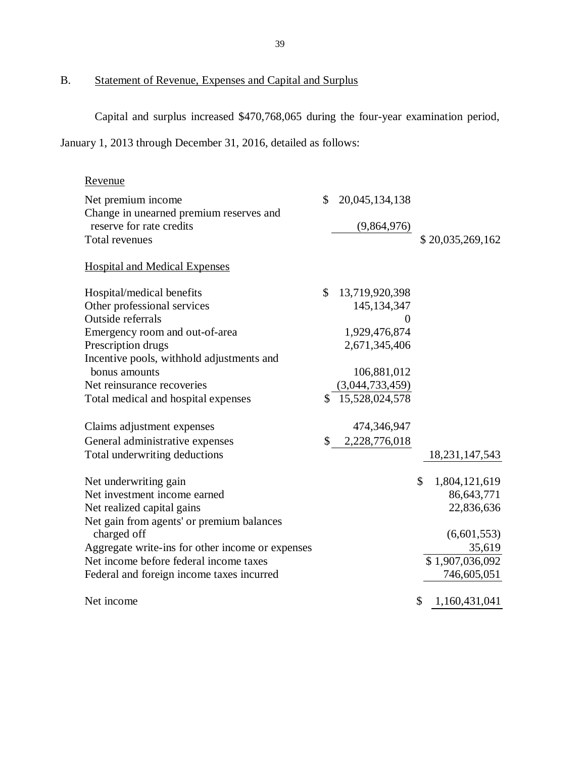B. Statement of Revenue, Expenses and Capital and Surplus

Capital and surplus increased \$470,768,065 during the four-year examination period,

January 1, 2013 through December 31, 2016, detailed as follows:

| Revenue                                          |              |                 |                     |
|--------------------------------------------------|--------------|-----------------|---------------------|
| Net premium income                               | \$           | 20,045,134,138  |                     |
| Change in unearned premium reserves and          |              |                 |                     |
| reserve for rate credits                         |              | (9,864,976)     |                     |
| Total revenues                                   |              |                 | \$20,035,269,162    |
| <b>Hospital and Medical Expenses</b>             |              |                 |                     |
| Hospital/medical benefits                        | \$           | 13,719,920,398  |                     |
| Other professional services                      |              | 145, 134, 347   |                     |
| Outside referrals                                |              | $\theta$        |                     |
| Emergency room and out-of-area                   |              | 1,929,476,874   |                     |
| Prescription drugs                               |              | 2,671,345,406   |                     |
| Incentive pools, withhold adjustments and        |              |                 |                     |
| bonus amounts                                    |              | 106,881,012     |                     |
| Net reinsurance recoveries                       |              | (3,044,733,459) |                     |
| Total medical and hospital expenses              |              | 15,528,024,578  |                     |
| Claims adjustment expenses                       |              | 474,346,947     |                     |
| General administrative expenses                  | $\mathbb{S}$ | 2,228,776,018   |                     |
| Total underwriting deductions                    |              |                 | 18, 231, 147, 543   |
| Net underwriting gain                            |              |                 | \$<br>1,804,121,619 |
| Net investment income earned                     |              |                 | 86,643,771          |
| Net realized capital gains                       |              |                 | 22,836,636          |
| Net gain from agents' or premium balances        |              |                 |                     |
| charged off                                      |              |                 | (6,601,553)         |
| Aggregate write-ins for other income or expenses |              |                 | 35,619              |
| Net income before federal income taxes           |              |                 | \$1,907,036,092     |
| Federal and foreign income taxes incurred        |              |                 | 746,605,051         |
| Net income                                       |              |                 | \$<br>1,160,431,041 |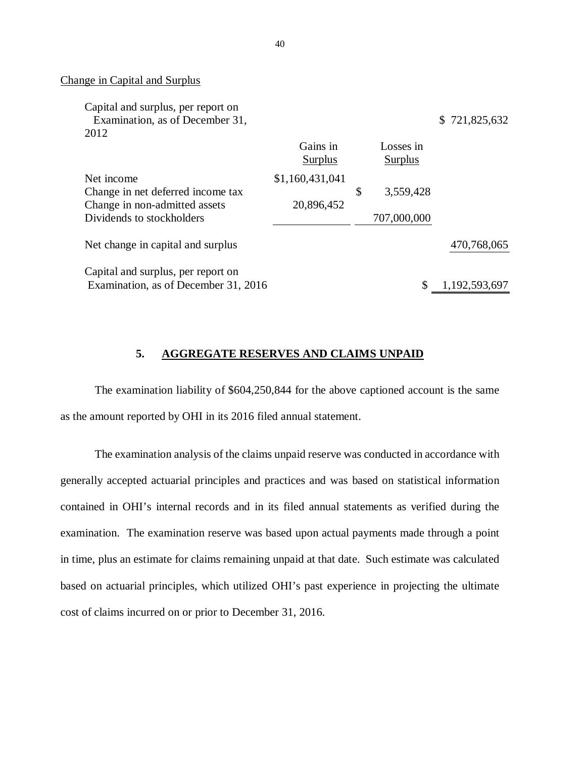### Change in Capital and Surplus

| Capital and surplus, per report on   |                 |                 |                   |
|--------------------------------------|-----------------|-----------------|-------------------|
| Examination, as of December 31,      |                 |                 | 721,825,632<br>S. |
| 2012                                 |                 |                 |                   |
|                                      | Gains in        | Losses in       |                   |
|                                      | Surplus         | Surplus         |                   |
| Net income                           | \$1,160,431,041 |                 |                   |
| Change in net deferred income tax    |                 | \$<br>3,559,428 |                   |
| Change in non-admitted assets        | 20,896,452      |                 |                   |
| Dividends to stockholders            |                 | 707,000,000     |                   |
| Net change in capital and surplus    |                 |                 | 470,768,065       |
| Capital and surplus, per report on   |                 |                 |                   |
| Examination, as of December 31, 2016 |                 | \$              | 1,192,593,697     |

#### **5. AGGREGATE RESERVES AND CLAIMS UNPAID**

 The examination liability of \$604,250,844 for the above captioned account is the same as the amount reported by OHI in its 2016 filed annual statement.

 The examination analysis of the claims unpaid reserve was conducted in accordance with generally accepted actuarial principles and practices and was based on statistical information contained in OHI's internal records and in its filed annual statements as verified during the examination. The examination reserve was based upon actual payments made through a point in time, plus an estimate for claims remaining unpaid at that date. Such estimate was calculated based on actuarial principles, which utilized OHI's past experience in projecting the ultimate cost of claims incurred on or prior to December 31, 2016.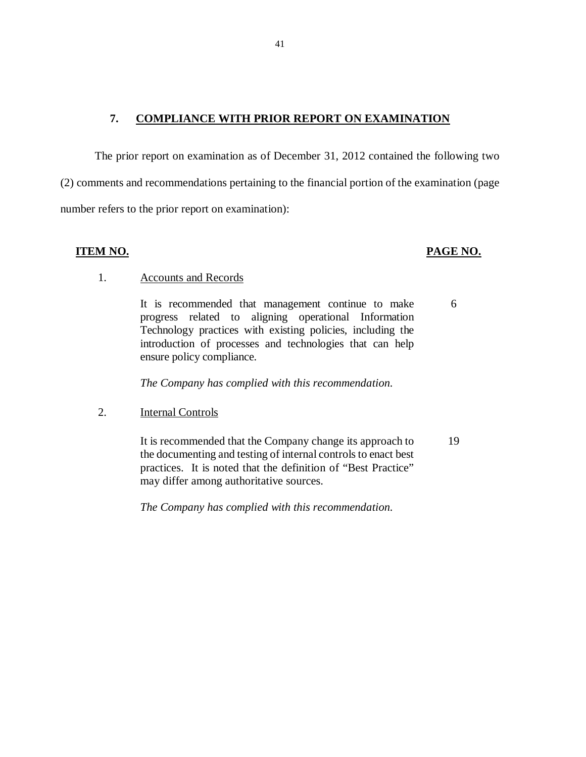#### **<u>COMPLIANCE WITH PRIOR REPORT ON EXAMINATION</u>**

 The prior report on examination as of December 31, 2012 contained the following two (2) comments and recommendations pertaining to the financial portion of the examination (page number refers to the prior report on examination):

### **ITEM NO.**

### **PAGE NO.**

### 1. Accounts and Records

 progress related to aligning operational In formation Technology practices with existing policies, incl uding the introduction of processes and technologies that can help ensure policy compliance. It is recommended that management continue to make 6

 *The Company has complied with this recommendation.* 

2. **Internal Controls** 

 the documenting and testing of internal controls to enact best practices. It is noted that the definition of "Best Practice" may differ among authoritative sources. It is recommended that the Company change its approach to 19

 *The Company has complied with this recommendation.*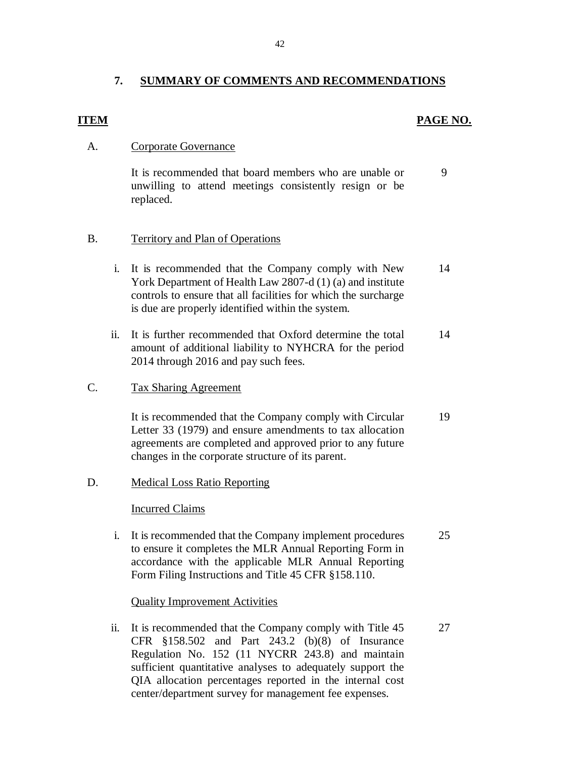#### $\overline{7}$ . **7. SUMMARY OF COMMENTS AND RECOMMENDATIONS**

### **ITEM** PAGE NO.

### A. Corporate Governance

 unwilling to attend meetings consistently resign or be It is recommended that board members who are unable or replaced. 9

### B. Territory and Plan of Operations

- i. It is recommended that the Company comply with New York Department of Health Law 2807-d (1) (a) and institute controls to ensure that all facilities for which the surcharge is due are properly identified within the system. 14
- ii. It is further recommended that Oxford determine the total amount of additional liability to NYHCRA for the period 2014 through 2016 and pay such fees. 14

#### $C_{\cdot}$ Tax Sharing Agreement

 Letter 33 (1979) and ensure amendments to tax allocation agreements are completed and approved prior to any future changes in the corporate structure of its parent. It is recommended that the Company comply with Circular 19

### D. Medical Loss Ratio Reporting

### Incurred Claims

 i. It is recommended that the Company implement procedures to ensure it completes the MLR Annual Reporting Form in accordance with the applicable MLR Annual Reporting Form Filing Instructions and Title 45 CFR §158.110. 25

### Quality Improvement Activities

 ii. It is recommended that the Company comply with Title 45 CFR §158.502 and Part 243.2 (b)(8) of Insurance Regulation No. 152 (11 NYCRR 243.8) and maintain sufficient quantitative analyses to adequately support the QIA allocation percentages reported in the internal cost center/department survey for management fee expenses. 27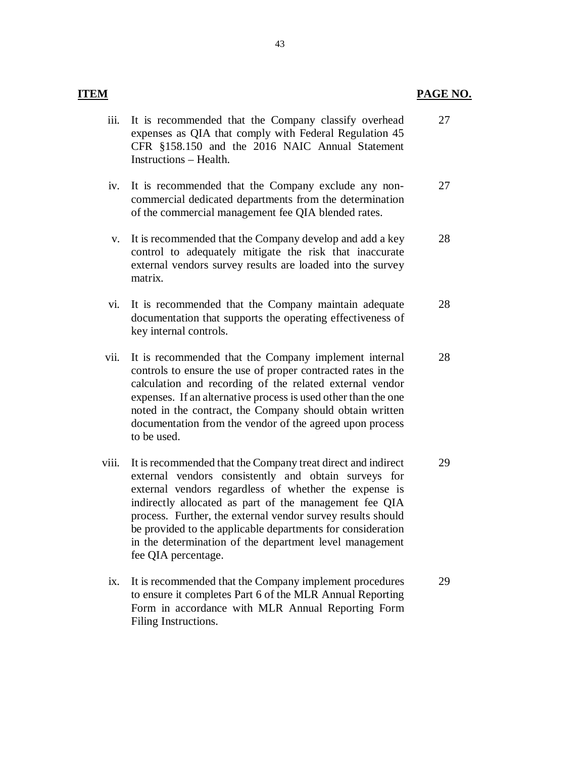| <b>ITEM</b> |                                                                                                                                                                                                                                                                                                                                                                                            | PAGE NO. |
|-------------|--------------------------------------------------------------------------------------------------------------------------------------------------------------------------------------------------------------------------------------------------------------------------------------------------------------------------------------------------------------------------------------------|----------|
| iii.        | It is recommended that the Company classify overhead<br>expenses as QIA that comply with Federal Regulation 45<br>CFR §158.150 and the 2016 NAIC Annual Statement<br>Instructions - Health.                                                                                                                                                                                                | 27       |
| iv.         | It is recommended that the Company exclude any non-<br>commercial dedicated departments from the determination<br>of the commercial management fee QIA blended rates.                                                                                                                                                                                                                      | 27       |
| V.          | It is recommended that the Company develop and add a key<br>control to adequately mitigate the risk that inaccurate<br>external vendors survey results are loaded into the survey<br>matrix.                                                                                                                                                                                               | 28       |
| vi.         | It is recommended that the Company maintain adequate<br>documentation that supports the operating effectiveness of<br>key internal controls.                                                                                                                                                                                                                                               | 28       |
| vii.        | It is recommended that the Company implement internal<br>controls to ensure the use of proper contracted rates in the<br>calculation and recording of the related external vendor<br>expenses. If an alternative process is used other than the one<br>noted in the contract, the Company should obtain written<br>documentation from the vendor of the agreed upon process<br>to be used. | 28       |
| viii.       | It is recommended that the Company treat direct and indirect<br>external vendors consistently and obtain surveys for<br>external vendors regardless of whether the expense is<br>indirectly allocated as part of the management fee QIA<br>process. Further, the external vendor survey results should                                                                                     | 29       |

- in the determination of the department level management fee QIA percentage. process. Further, the external vendor survey results should be provided to the applicable departments for consideration
- ix. It is recommended that the Company implement procedures to ensure it completes Part 6 of the MLR Annual Reporting Form in accordance with MLR Annual Reporting Form Filing Instructions. 29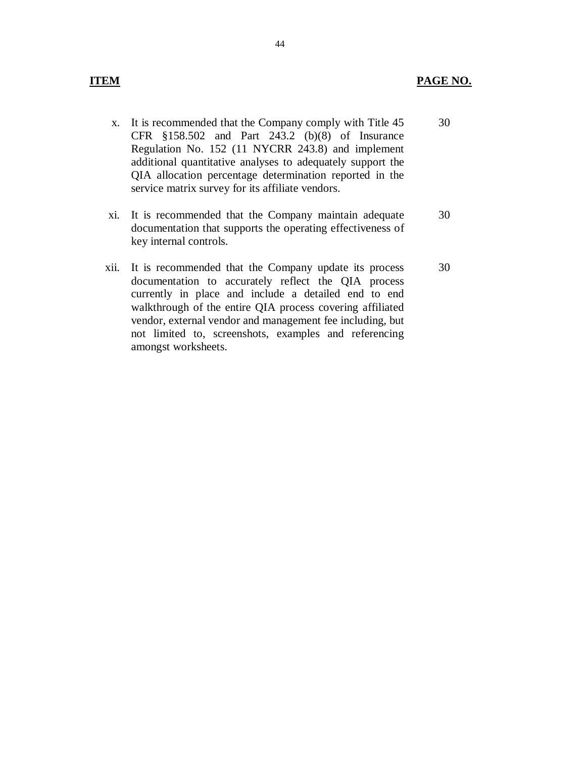- x. It is recommended that the Company comply with Title 45 30 CFR §158.502 and Part 243.2 (b)(8) of Insurance Regulation No. 152 (11 NYCRR 243.8) and implement additional quantitative analyses to adequately support the QIA allocation percentage determination reported in the service matrix survey for its affiliate vendors.
- xi. It is recommended that the Company maintain adequate 30 documentation that supports the operating effectiveness of key internal controls.
- xii. It is recommended that the Company update its process 30 documentation to accurately reflect the QIA process currently in place and include a detailed end to end walkthrough of the entire QIA process covering affiliated vendor, external vendor and management fee including, but not limited to, screenshots, examples and referencing amongst worksheets.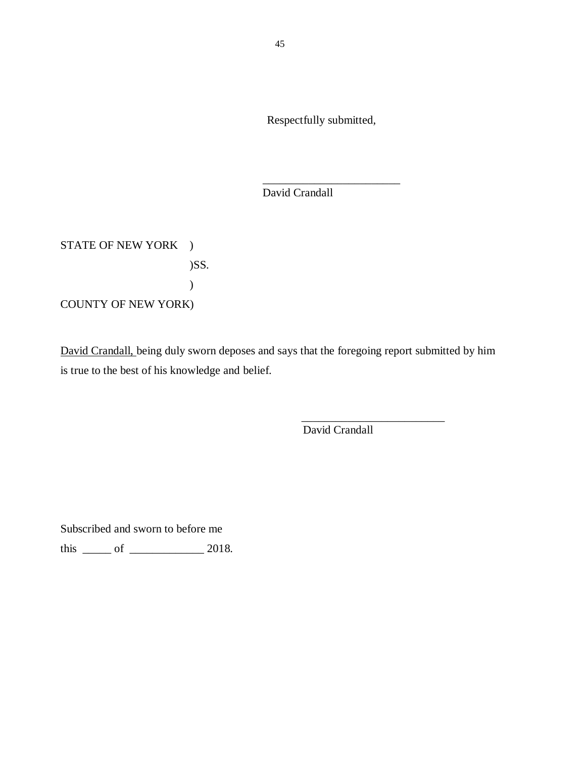Respectfully submitted,

\_\_\_\_\_\_\_\_\_\_\_\_\_\_\_\_\_\_\_\_\_\_\_\_

David Crandall

STATE OF NEW YORK ) COUNTY OF NEW YORK) )SS. )

David Crandall, being duly sworn deposes and says that the foregoing report submitted by him is true to the best of his knowledge and belief.

David Crandall

\_\_\_\_\_\_\_\_\_\_\_\_\_\_\_\_\_\_\_\_\_\_\_\_\_

Subscribed and sworn to before me

this  $\frac{\ }{\ }$  of  $\frac{\ }{\ }$  2018.